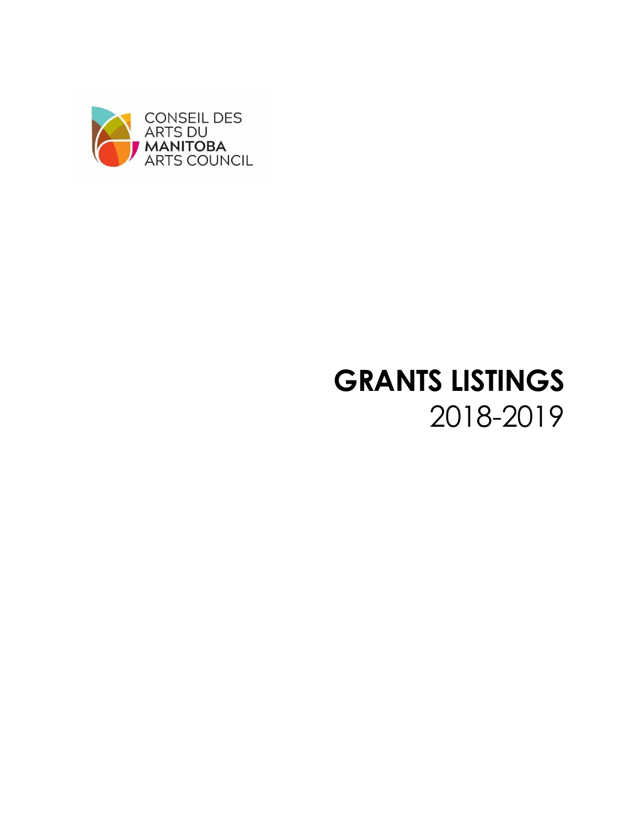

# **GRANTS LISTINGS**  2018-2019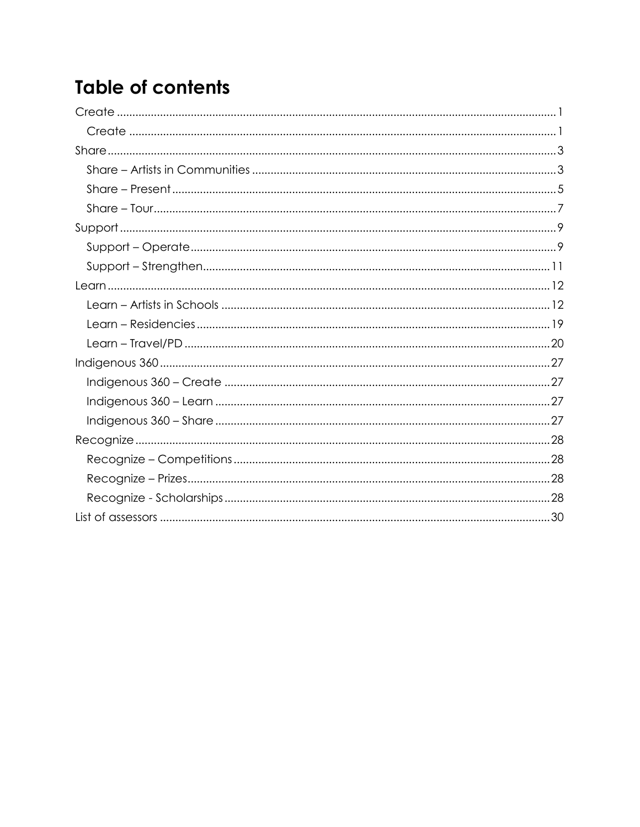# **Table of contents**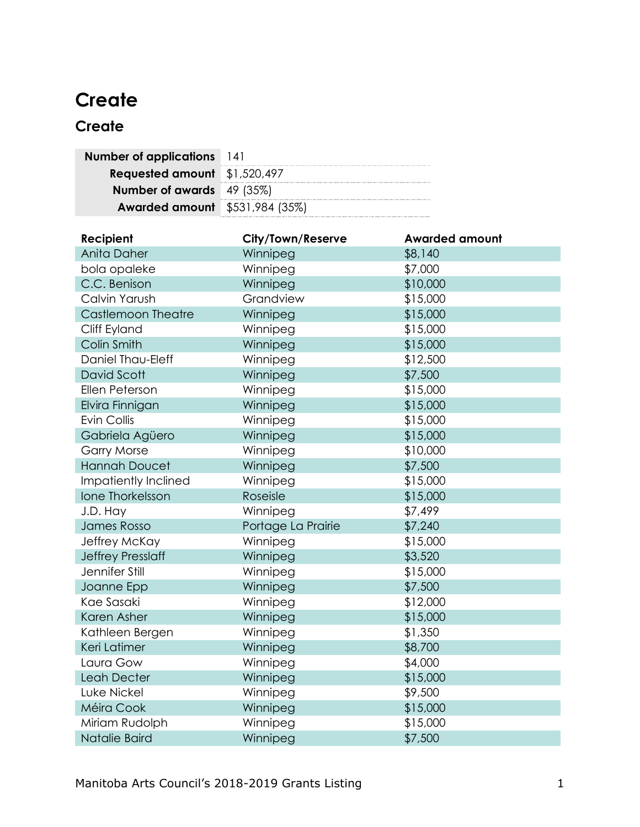# <span id="page-2-0"></span>**Create**

# <span id="page-2-1"></span>**Create**

| <b>Number of applications</b> 141     |  |
|---------------------------------------|--|
| Requested amount \$1,520,497          |  |
| <b>Number of awards</b> 49 (35%)      |  |
| <b>Awarded amount</b> \$531,984 (35%) |  |

| Recipient                 | <b>City/Town/Reserve</b> | <b>Awarded amount</b> |
|---------------------------|--------------------------|-----------------------|
| Anita Daher               | Winnipeg                 | \$8,140               |
| bola opaleke              | Winnipeg                 | \$7,000               |
| C.C. Benison              | Winnipeg                 | \$10,000              |
| Calvin Yarush             | Grandview                | \$15,000              |
| <b>Castlemoon Theatre</b> | Winnipeg                 | \$15,000              |
| Cliff Eyland              | Winnipeg                 | \$15,000              |
| Colin Smith               | Winnipeg                 | \$15,000              |
| Daniel Thau-Eleff         | Winnipeg                 | \$12,500              |
| David Scott               | Winnipeg                 | \$7,500               |
| Ellen Peterson            | Winnipeg                 | \$15,000              |
| Elvira Finnigan           | Winnipeg                 | \$15,000              |
| Evin Collis               | Winnipeg                 | \$15,000              |
| Gabriela Agüero           | Winnipeg                 | \$15,000              |
| <b>Garry Morse</b>        | Winnipeg                 | \$10,000              |
| <b>Hannah Doucet</b>      | Winnipeg                 | \$7,500               |
| Impatiently Inclined      | Winnipeg                 | \$15,000              |
| Ione Thorkelsson          | Roseisle                 | \$15,000              |
| J.D. Hay                  | Winnipeg                 | \$7,499               |
| James Rosso               | Portage La Prairie       | \$7,240               |
| Jeffrey McKay             | Winnipeg                 | \$15,000              |
| <b>Jeffrey Presslaff</b>  | Winnipeg                 | \$3,520               |
| Jennifer Still            | Winnipeg                 | \$15,000              |
| Joanne Epp                | Winnipeg                 | \$7,500               |
| Kae Sasaki                | Winnipeg                 | \$12,000              |
| Karen Asher               | Winnipeg                 | \$15,000              |
| Kathleen Bergen           | Winnipeg                 | \$1,350               |
| Keri Latimer              | Winnipeg                 | \$8,700               |
| Laura Gow                 | Winnipeg                 | \$4,000               |
| Leah Decter               | Winnipeg                 | \$15,000              |
| Luke Nickel               | Winnipeg                 | \$9,500               |
| Méira Cook                | Winnipeg                 | \$15,000              |
| Miriam Rudolph            | Winnipeg                 | \$15,000              |
| Natalie Baird             | Winnipeg                 | \$7,500               |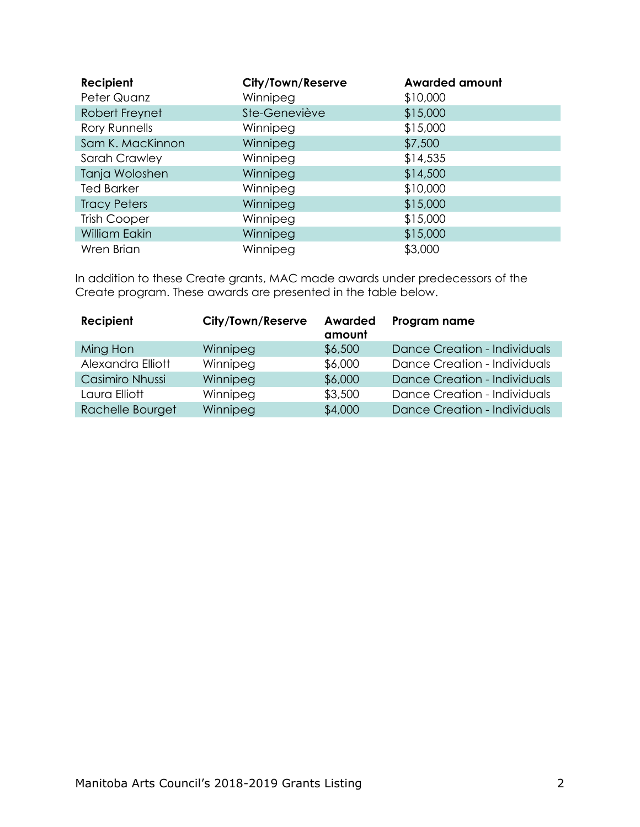| Recipient<br>Peter Quanz | City/Town/Reserve<br>Winnipeg | <b>Awarded amount</b><br>\$10,000 |
|--------------------------|-------------------------------|-----------------------------------|
| Robert Freynet           | Ste-Geneviève                 | \$15,000                          |
| Rory Runnells            | Winnipeg                      | \$15,000                          |
| Sam K. MacKinnon         | Winnipeg                      | \$7,500                           |
| Sarah Crawley            | Winnipeg                      | \$14,535                          |
| Tanja Woloshen           | Winnipeg                      | \$14,500                          |
| <b>Ted Barker</b>        | Winnipeg                      | \$10,000                          |
| <b>Tracy Peters</b>      | Winnipeg                      | \$15,000                          |
| <b>Trish Cooper</b>      | Winnipeg                      | \$15,000                          |
| <b>William Eakin</b>     | Winnipeg                      | \$15,000                          |
| Wren Brian               | Winnipeg                      | \$3,000                           |

In addition to these Create grants, MAC made awards under predecessors of the Create program. These awards are presented in the table below.

<span id="page-3-0"></span>

| Recipient         | City/Town/Reserve | Awarded<br>amount | Program name                        |
|-------------------|-------------------|-------------------|-------------------------------------|
| Ming Hon          | Winnipeg          | \$6,500           | <b>Dance Creation - Individuals</b> |
| Alexandra Elliott | Winnipeg          | \$6,000           | Dance Creation - Individuals        |
| Casimiro Nhussi   | Winnipeg          | \$6,000           | <b>Dance Creation - Individuals</b> |
| Laura Elliott     | Winnipeg          | \$3,500           | Dance Creation - Individuals        |
| Rachelle Bourget  | Winnipeg          | \$4,000           | <b>Dance Creation - Individuals</b> |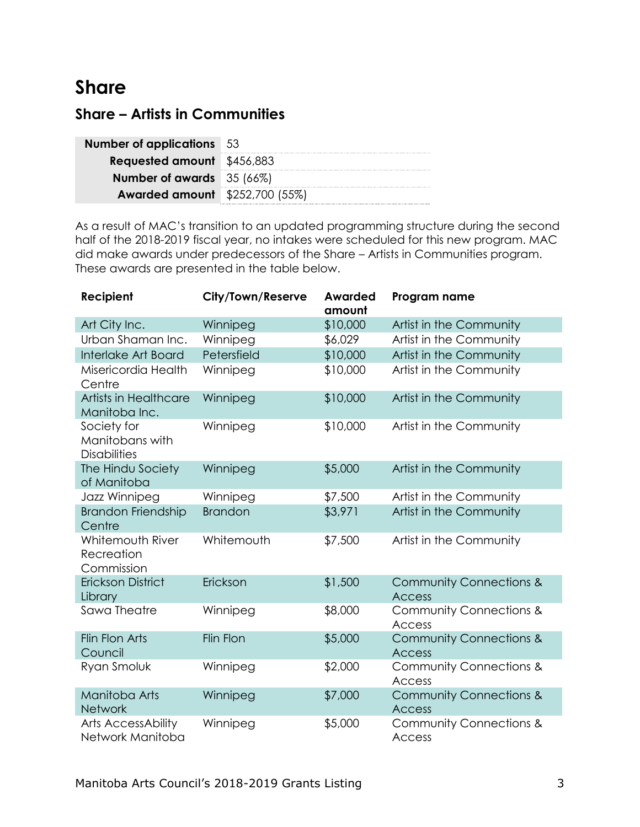# **Share**

## <span id="page-4-0"></span>**Share – Artists in Communities**

| <b>Number of applications</b> 53      |  |
|---------------------------------------|--|
| <b>Requested amount</b> \$456,883     |  |
| <b>Number of awards</b> 35 (66%)      |  |
| <b>Awarded amount</b> \$252,700 (55%) |  |

As a result of MAC's transition to an updated programming structure during the second half of the 2018-2019 fiscal year, no intakes were scheduled for this new program. MAC did make awards under predecessors of the Share – Artists in Communities program. These awards are presented in the table below.

| Recipient                                             | <b>City/Town/Reserve</b> | <b>Awarded</b><br>amount | Program name                                        |
|-------------------------------------------------------|--------------------------|--------------------------|-----------------------------------------------------|
| Art City Inc.                                         | Winnipeg                 | \$10,000                 | Artist in the Community                             |
| Urban Shaman Inc.                                     | Winnipeg                 | \$6,029                  | Artist in the Community                             |
| Interlake Art Board                                   | Petersfield              | \$10,000                 | Artist in the Community                             |
| Misericordia Health<br>Centre                         | Winnipeg                 | \$10,000                 | Artist in the Community                             |
| Artists in Healthcare<br>Manitoba Inc.                | Winnipeg                 | \$10,000                 | Artist in the Community                             |
| Society for<br>Manitobans with<br><b>Disabilities</b> | Winnipeg                 | \$10,000                 | Artist in the Community                             |
| The Hindu Society<br>of Manitoba                      | Winnipeg                 | \$5,000                  | Artist in the Community                             |
| Jazz Winnipeg                                         | Winnipeg                 | \$7,500                  | Artist in the Community                             |
| <b>Brandon Friendship</b><br>Centre                   | <b>Brandon</b>           | \$3,971                  | Artist in the Community                             |
| Whitemouth River<br>Recreation<br>Commission          | Whitemouth               | \$7,500                  | Artist in the Community                             |
| <b>Erickson District</b><br>Library                   | Erickson                 | \$1,500                  | <b>Community Connections &amp;</b><br><b>Access</b> |
| Sawa Theatre                                          | Winnipeg                 | \$8,000                  | <b>Community Connections &amp;</b><br><b>Access</b> |
| Flin Flon Arts<br>Council                             | Flin Flon                | \$5,000                  | <b>Community Connections &amp;</b><br><b>Access</b> |
| Ryan Smoluk                                           | Winnipeg                 | \$2,000                  | <b>Community Connections &amp;</b><br><b>Access</b> |
| Manitoba Arts<br>Network                              | Winnipeg                 | \$7,000                  | <b>Community Connections &amp;</b><br><b>Access</b> |
| Arts AccessAbility<br>Network Manitoba                | Winnipeg                 | \$5,000                  | <b>Community Connections &amp;</b><br>Access        |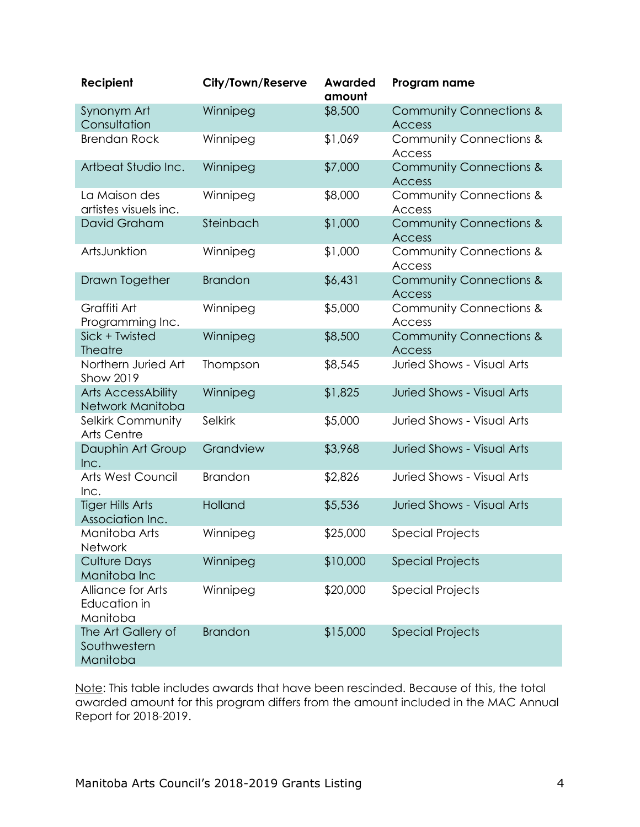| Recipient                                      | <b>City/Town/Reserve</b> | <b>Awarded</b><br>amount | Program name                                        |
|------------------------------------------------|--------------------------|--------------------------|-----------------------------------------------------|
| Synonym Art<br>Consultation                    | Winnipeg                 | \$8,500                  | <b>Community Connections &amp;</b><br><b>Access</b> |
| <b>Brendan Rock</b>                            | Winnipeg                 | \$1,069                  | <b>Community Connections &amp;</b><br><b>Access</b> |
| Artbeat Studio Inc.                            | Winnipeg                 | \$7,000                  | <b>Community Connections &amp;</b><br><b>Access</b> |
| La Maison des<br>artistes visuels inc.         | Winnipeg                 | \$8,000                  | <b>Community Connections &amp;</b><br>Access        |
| David Graham                                   | Steinbach                | \$1,000                  | <b>Community Connections &amp;</b><br><b>Access</b> |
| ArtsJunktion                                   | Winnipeg                 | \$1,000                  | <b>Community Connections &amp;</b><br>Access        |
| Drawn Together                                 | <b>Brandon</b>           | \$6,431                  | <b>Community Connections &amp;</b><br><b>Access</b> |
| Graffiti Art<br>Programming Inc.               | Winnipeg                 | \$5,000                  | Community Connections &<br>Access                   |
| Sick + Twisted<br><b>Theatre</b>               | Winnipeg                 | \$8,500                  | <b>Community Connections &amp;</b><br><b>Access</b> |
| Northern Juried Art<br>Show 2019               | Thompson                 | \$8,545                  | <b>Juried Shows - Visual Arts</b>                   |
| <b>Arts AccessAbility</b><br>Network Manitoba  | Winnipeg                 | \$1,825                  | <b>Juried Shows - Visual Arts</b>                   |
| Selkirk Community<br><b>Arts Centre</b>        | Selkirk                  | \$5,000                  | <b>Juried Shows - Visual Arts</b>                   |
| Dauphin Art Group<br>Inc.                      | Grandview                | \$3,968                  | <b>Juried Shows - Visual Arts</b>                   |
| Arts West Council<br>Inc.                      | <b>Brandon</b>           | \$2,826                  | <b>Juried Shows - Visual Arts</b>                   |
| <b>Tiger Hills Arts</b><br>Association Inc.    | Holland                  | \$5,536                  | <b>Juried Shows - Visual Arts</b>                   |
| Manitoba Arts<br><b>Network</b>                | Winnipeg                 | \$25,000                 | <b>Special Projects</b>                             |
| <b>Culture Days</b><br>Manitoba Inc            | Winnipeg                 | \$10,000                 | <b>Special Projects</b>                             |
| Alliance for Arts<br>Education in<br>Manitoba  | Winnipeg                 | \$20,000                 | <b>Special Projects</b>                             |
| The Art Gallery of<br>Southwestern<br>Manitoba | <b>Brandon</b>           | \$15,000                 | <b>Special Projects</b>                             |

Note: This table includes awards that have been rescinded. Because of this, the total awarded amount for this program differs from the amount included in the MAC Annual Report for 2018-2019.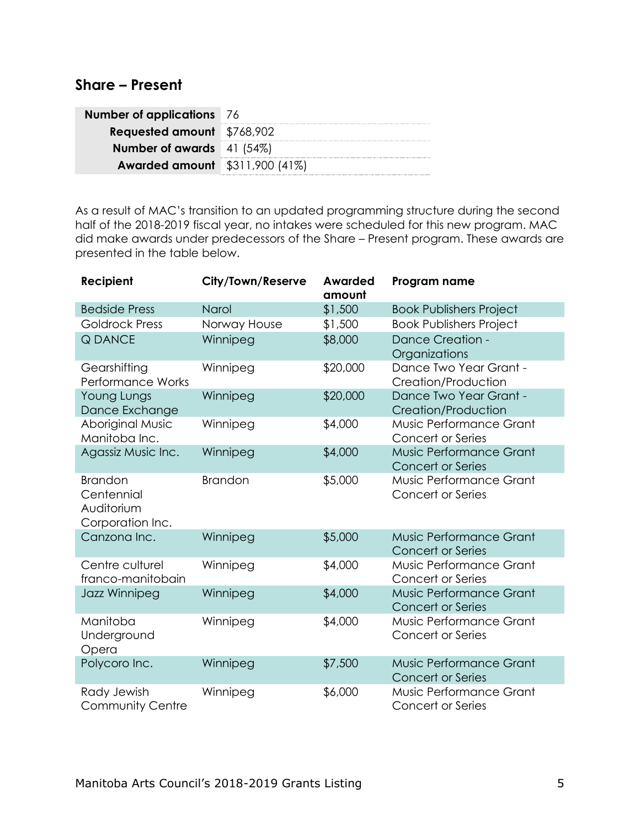#### <span id="page-6-0"></span>**Share – Present**

| <b>Number of applications</b> 76      |  |
|---------------------------------------|--|
| <b>Requested amount</b> \$768,902     |  |
| <b>Number of awards</b> 41 (54%)      |  |
| <b>Awarded amount</b> \$311,900 (41%) |  |

As a result of MAC's transition to an updated programming structure during the second half of the 2018-2019 fiscal year, no intakes were scheduled for this new program. MAC did make awards under predecessors of the Share – Present program. These awards are presented in the table below.

| Recipient                                                      | City/Town/Reserve | <b>Awarded</b><br>amount | Program name                                        |
|----------------------------------------------------------------|-------------------|--------------------------|-----------------------------------------------------|
| <b>Bedside Press</b>                                           | Narol             | \$1,500                  | <b>Book Publishers Project</b>                      |
| <b>Goldrock Press</b>                                          | Norway House      | \$1,500                  | <b>Book Publishers Project</b>                      |
| <b>Q DANCE</b>                                                 | Winnipeg          | \$8,000                  | <b>Dance Creation -</b><br>Organizations            |
| Gearshifting<br><b>Performance Works</b>                       | Winnipeg          | \$20,000                 | Dance Two Year Grant -<br>Creation/Production       |
| Young Lungs<br>Dance Exchange                                  | Winnipeg          | \$20,000                 | Dance Two Year Grant -<br>Creation/Production       |
| Aboriginal Music<br>Manitoba Inc.                              | Winnipeg          | \$4,000                  | Music Performance Grant<br>Concert or Series        |
| Agassiz Music Inc.                                             | Winnipeg          | \$4,000                  | Music Performance Grant<br><b>Concert or Series</b> |
| <b>Brandon</b><br>Centennial<br>Auditorium<br>Corporation Inc. | <b>Brandon</b>    | \$5,000                  | Music Performance Grant<br>Concert or Series        |
| Canzona Inc.                                                   | Winnipeg          | \$5,000                  | Music Performance Grant<br><b>Concert or Series</b> |
| Centre culturel<br>franco-manitobain                           | Winnipeg          | \$4,000                  | Music Performance Grant<br>Concert or Series        |
| Jazz Winnipeg                                                  | Winnipeg          | \$4,000                  | Music Performance Grant<br><b>Concert or Series</b> |
| Manitoba<br>Underground<br>Opera                               | Winnipeg          | \$4,000                  | Music Performance Grant<br>Concert or Series        |
| Polycoro Inc.                                                  | Winnipeg          | \$7,500                  | Music Performance Grant<br><b>Concert or Series</b> |
| Rady Jewish<br><b>Community Centre</b>                         | Winnipeg          | \$6,000                  | Music Performance Grant<br>Concert or Series        |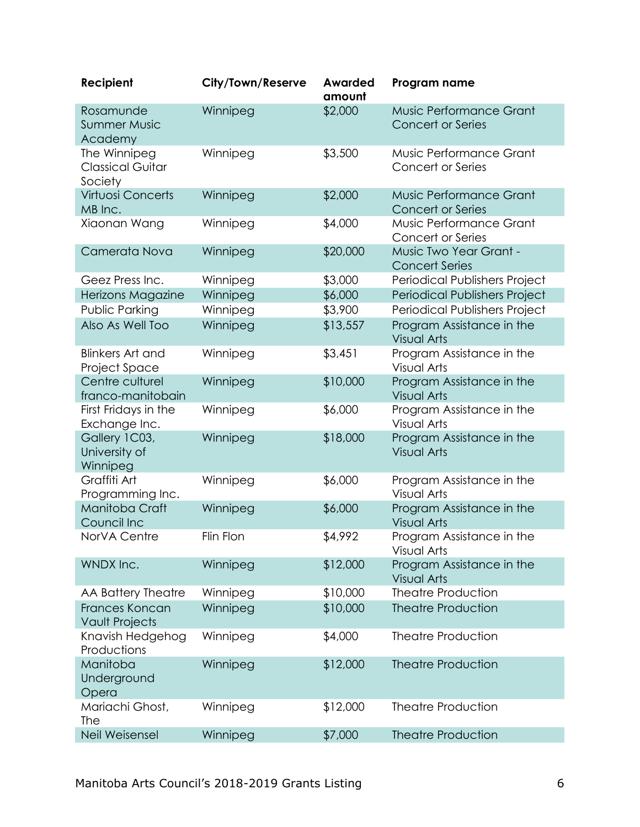| Recipient                                          | City/Town/Reserve | <b>Awarded</b><br>amount | Program name                                        |
|----------------------------------------------------|-------------------|--------------------------|-----------------------------------------------------|
| Rosamunde<br><b>Summer Music</b><br>Academy        | Winnipeg          | \$2,000                  | Music Performance Grant<br><b>Concert or Series</b> |
| The Winnipeg<br><b>Classical Guitar</b><br>Society | Winnipeg          | \$3,500                  | Music Performance Grant<br>Concert or Series        |
| <b>Virtuosi Concerts</b><br>MB Inc.                | Winnipeg          | \$2,000                  | Music Performance Grant<br><b>Concert or Series</b> |
| Xiaonan Wang                                       | Winnipeg          | \$4,000                  | Music Performance Grant<br>Concert or Series        |
| Camerata Nova                                      | Winnipeg          | \$20,000                 | Music Two Year Grant -<br><b>Concert Series</b>     |
| Geez Press Inc.                                    | Winnipeg          | \$3,000                  | Periodical Publishers Project                       |
| Herizons Magazine                                  | Winnipeg          | \$6,000                  | Periodical Publishers Project                       |
| Public Parking                                     | Winnipeg          | \$3,900                  | Periodical Publishers Project                       |
| Also As Well Too                                   | Winnipeg          | \$13,557                 | Program Assistance in the<br><b>Visual Arts</b>     |
| <b>Blinkers Art and</b><br>Project Space           | Winnipeg          | \$3,451                  | Program Assistance in the<br><b>Visual Arts</b>     |
| Centre culturel<br>franco-manitobain               | Winnipeg          | \$10,000                 | Program Assistance in the<br><b>Visual Arts</b>     |
| First Fridays in the<br>Exchange Inc.              | Winnipeg          | \$6,000                  | Program Assistance in the<br><b>Visual Arts</b>     |
| Gallery 1C03,<br>University of<br>Winnipeg         | Winnipeg          | \$18,000                 | Program Assistance in the<br><b>Visual Arts</b>     |
| Graffiti Art<br>Programming Inc.                   | Winnipeg          | \$6,000                  | Program Assistance in the<br><b>Visual Arts</b>     |
| Manitoba Craft<br>Council Inc                      | Winnipeg          | \$6,000                  | Program Assistance in the<br><b>Visual Arts</b>     |
| NorVA Centre                                       | Flin Flon         | \$4,992                  | Program Assistance in the<br><b>Visual Arts</b>     |
| WNDX Inc.                                          | Winnipeg          | \$12,000                 | Program Assistance in the<br><b>Visual Arts</b>     |
| AA Battery Theatre                                 | Winnipeg          | \$10,000                 | <b>Theatre Production</b>                           |
| Frances Koncan<br><b>Vault Projects</b>            | Winnipeg          | \$10,000                 | <b>Theatre Production</b>                           |
| Knavish Hedgehog<br>Productions                    | Winnipeg          | \$4,000                  | <b>Theatre Production</b>                           |
| Manitoba<br>Underground<br>Opera                   | Winnipeg          | \$12,000                 | <b>Theatre Production</b>                           |
| Mariachi Ghost,<br>The                             | Winnipeg          | \$12,000                 | <b>Theatre Production</b>                           |
| Neil Weisensel                                     | Winnipeg          | \$7,000                  | <b>Theatre Production</b>                           |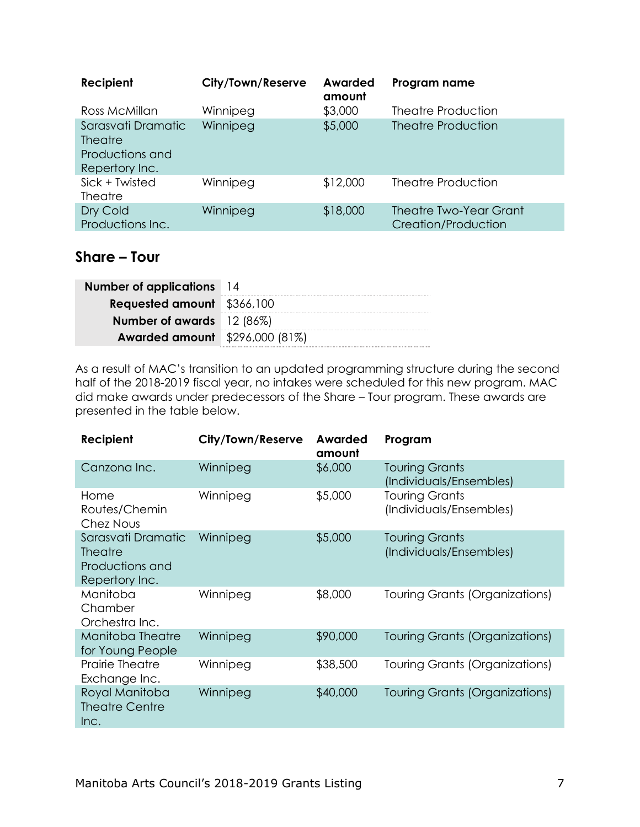| Recipient                                                                 | City/Town/Reserve | Awarded<br>amount | Program name                                         |
|---------------------------------------------------------------------------|-------------------|-------------------|------------------------------------------------------|
| Ross McMillan                                                             | Winnipeg          | \$3,000           | Theatre Production                                   |
| Sarasvati Dramatic<br><b>Theatre</b><br>Productions and<br>Repertory Inc. | Winnipeg          | \$5,000           | <b>Theatre Production</b>                            |
| Sick + Twisted<br><b>Theatre</b>                                          | Winnipeg          | \$12,000          | <b>Theatre Production</b>                            |
| Dry Cold<br>Productions Inc.                                              | Winnipeg          | \$18,000          | <b>Theatre Two-Year Grant</b><br>Creation/Production |

### <span id="page-8-0"></span>**Share – Tour**

| <b>Number of applications</b> 14      |  |
|---------------------------------------|--|
| <b>Requested amount</b> \$366,100     |  |
| <b>Number of awards</b> 12 (86%)      |  |
| <b>Awarded amount</b> \$296,000 (81%) |  |

As a result of MAC's transition to an updated programming structure during the second half of the 2018-2019 fiscal year, no intakes were scheduled for this new program. MAC did make awards under predecessors of the Share – Tour program. These awards are presented in the table below.

| Recipient                                                                 | City/Town/Reserve | Awarded<br>amount | Program                                          |
|---------------------------------------------------------------------------|-------------------|-------------------|--------------------------------------------------|
| Canzona Inc.                                                              | Winnipeg          | \$6,000           | <b>Touring Grants</b><br>(Individuals/Ensembles) |
| Home<br>Routes/Chemin<br>Chez Nous                                        | Winnipeg          | \$5,000           | <b>Touring Grants</b><br>(Individuals/Ensembles) |
| Sarasvati Dramatic<br><b>Theatre</b><br>Productions and<br>Repertory Inc. | Winnipeg          | \$5,000           | <b>Touring Grants</b><br>(Individuals/Ensembles) |
| Manitoba<br>Chamber<br>Orchestra Inc.                                     | Winnipeg          | \$8,000           | Touring Grants (Organizations)                   |
| Manitoba Theatre<br>for Young People                                      | Winnipeg          | \$90,000          | <b>Touring Grants (Organizations)</b>            |
| <b>Prairie Theatre</b><br>Exchange Inc.                                   | Winnipeg          | \$38,500          | Touring Grants (Organizations)                   |
| Royal Manitoba<br><b>Theatre Centre</b><br>Inc.                           | Winnipeg          | \$40,000          | Touring Grants (Organizations)                   |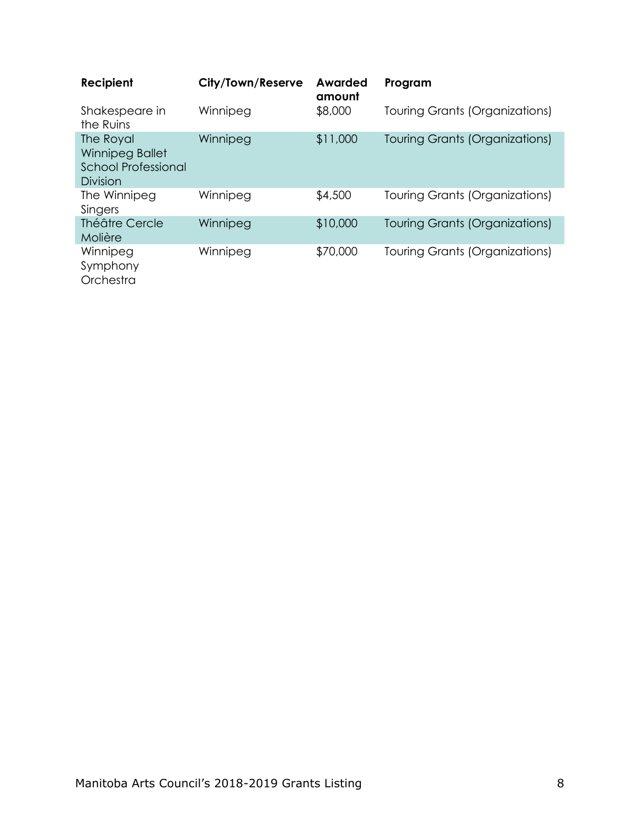<span id="page-9-0"></span>

| Recipient                                                              | City/Town/Reserve | Awarded<br>amount | Program                               |
|------------------------------------------------------------------------|-------------------|-------------------|---------------------------------------|
| Shakespeare in<br>the Ruins                                            | Winnipeg          | \$8,000           | <b>Touring Grants (Organizations)</b> |
| The Royal<br>Winnipeg Ballet<br><b>School Professional</b><br>Division | Winnipeg          | \$11,000          | Touring Grants (Organizations)        |
| The Winnipeg<br>Singers                                                | Winnipeg          | \$4,500           | Touring Grants (Organizations)        |
| Théâtre Cercle<br>Molière                                              | Winnipeg          | \$10,000          | <b>Touring Grants (Organizations)</b> |
| Winnipeg<br>Symphony<br>Orchestra                                      | Winnipeg          | \$70,000          | Touring Grants (Organizations)        |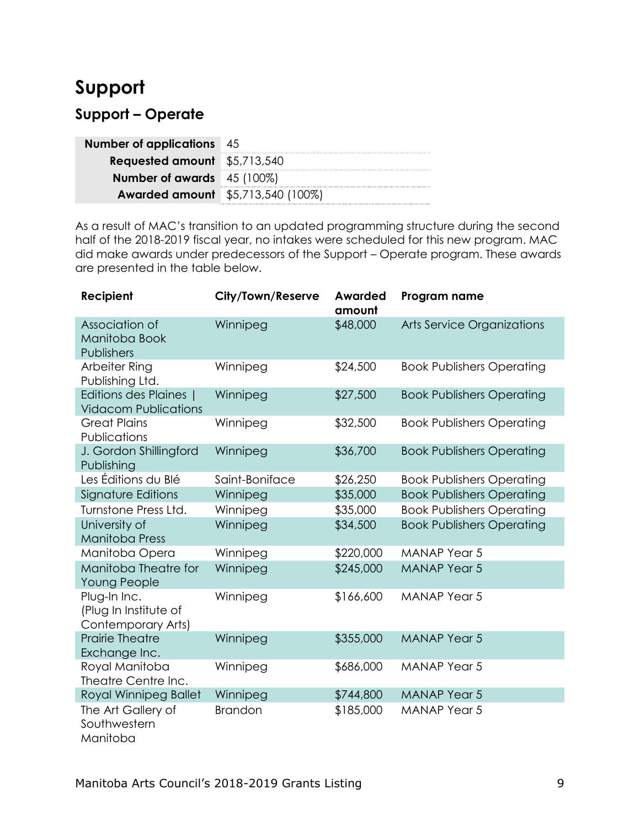# **Support**

## <span id="page-10-0"></span>**Support – Operate**

| <b>Number of applications</b> 45         |  |
|------------------------------------------|--|
| <b>Requested amount</b> \$5,713,540      |  |
| <b>Number of awards</b> 45 (100%)        |  |
| <b>Awarded amount</b> \$5,713,540 (100%) |  |

As a result of MAC's transition to an updated programming structure during the second half of the 2018-2019 fiscal year, no intakes were scheduled for this new program. MAC did make awards under predecessors of the Support – Operate program. These awards are presented in the table below.

| Recipient                                                   | <b>City/Town/Reserve</b> | <b>Awarded</b><br>amount | Program name                      |
|-------------------------------------------------------------|--------------------------|--------------------------|-----------------------------------|
| Association of<br>Manitoba Book<br>Publishers               | Winnipeg                 | \$48,000                 | <b>Arts Service Organizations</b> |
| Arbeiter Ring<br>Publishing Ltd.                            | Winnipeg                 | \$24,500                 | <b>Book Publishers Operating</b>  |
| Editions des Plaines  <br><b>Vidacom Publications</b>       | Winnipeg                 | \$27,500                 | <b>Book Publishers Operating</b>  |
| <b>Great Plains</b><br>Publications                         | Winnipeg                 | \$32,500                 | <b>Book Publishers Operating</b>  |
| J. Gordon Shillingford<br>Publishing                        | Winnipeg                 | \$36,700                 | <b>Book Publishers Operating</b>  |
| Les Éditions du Blé                                         | Saint-Boniface           | \$26,250                 | <b>Book Publishers Operating</b>  |
| Signature Editions                                          | Winnipeg                 | \$35,000                 | <b>Book Publishers Operating</b>  |
| Turnstone Press Ltd.                                        | Winnipeg                 | \$35,000                 | <b>Book Publishers Operating</b>  |
| University of<br><b>Manitoba Press</b>                      | Winnipeg                 | \$34,500                 | <b>Book Publishers Operating</b>  |
| Manitoba Opera                                              | Winnipeg                 | \$220,000                | <b>MANAP Year 5</b>               |
| Manitoba Theatre for<br><b>Young People</b>                 | Winnipeg                 | \$245,000                | <b>MANAP Year 5</b>               |
| Plug-In Inc.<br>(Plug In Institute of<br>Contemporary Arts) | Winnipeg                 | \$166,600                | <b>MANAP Year 5</b>               |
| <b>Prairie Theatre</b><br>Exchange Inc.                     | Winnipeg                 | \$355,000                | <b>MANAP Year 5</b>               |
| Royal Manitoba<br>Theatre Centre Inc.                       | Winnipeg                 | \$686,000                | <b>MANAP Year 5</b>               |
| Royal Winnipeg Ballet                                       | Winnipeg                 | \$744,800                | <b>MANAP Year 5</b>               |
| The Art Gallery of<br>Southwestern<br>Manitoba              | <b>Brandon</b>           | \$185,000                | <b>MANAP Year 5</b>               |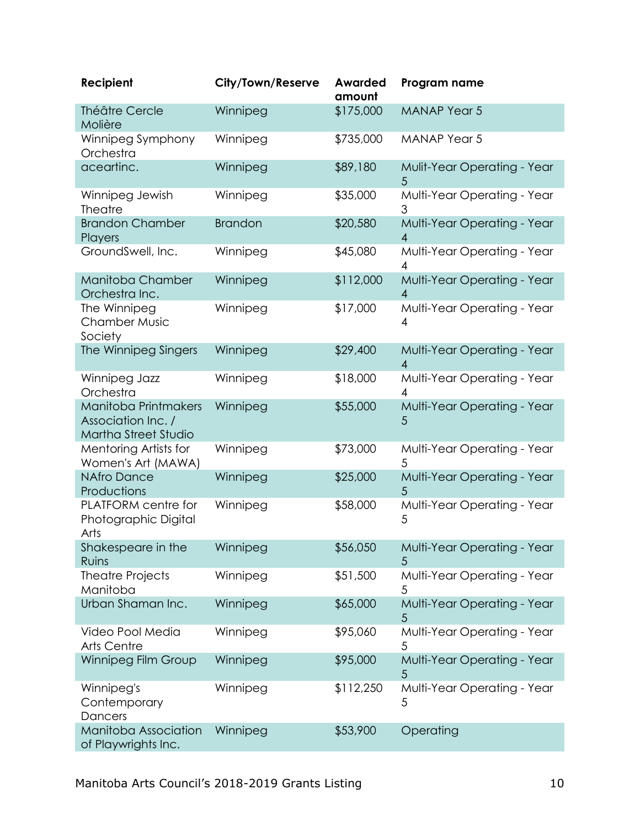| Recipient                                                                 | City/Town/Reserve | <b>Awarded</b><br>amount | Program name                                  |
|---------------------------------------------------------------------------|-------------------|--------------------------|-----------------------------------------------|
| Théâtre Cercle<br>Molière                                                 | Winnipeg          | \$175,000                | <b>MANAP Year 5</b>                           |
| Winnipeg Symphony<br>Orchestra                                            | Winnipeg          | \$735,000                | <b>MANAP Year 5</b>                           |
| aceartinc.                                                                | Winnipeg          | \$89,180                 | Mulit-Year Operating - Year<br>5              |
| Winnipeg Jewish<br><b>Theatre</b>                                         | Winnipeg          | \$35,000                 | Multi-Year Operating - Year<br>3              |
| <b>Brandon Chamber</b><br>Players                                         | <b>Brandon</b>    | \$20,580                 | Multi-Year Operating - Year<br>$\overline{A}$ |
| GroundSwell, Inc.                                                         | Winnipeg          | \$45,080                 | Multi-Year Operating - Year<br>4              |
| Manitoba Chamber<br>Orchestra Inc.                                        | Winnipeg          | \$112,000                | Multi-Year Operating - Year<br>4              |
| The Winnipeg<br><b>Chamber Music</b><br>Society                           | Winnipeg          | \$17,000                 | Multi-Year Operating - Year<br>4              |
| The Winnipeg Singers                                                      | Winnipeg          | \$29,400                 | Multi-Year Operating - Year<br>4              |
| Winnipeg Jazz<br>Orchestra                                                | Winnipeg          | \$18,000                 | Multi-Year Operating - Year<br>4              |
| Manitoba Printmakers<br>Association Inc. /<br><b>Martha Street Studio</b> | Winnipeg          | \$55,000                 | Multi-Year Operating - Year<br>5              |
| Mentoring Artists for<br>Women's Art (MAWA)                               | Winnipeg          | \$73,000                 | Multi-Year Operating - Year<br>5              |
| <b>NAfro Dance</b><br>Productions                                         | Winnipeg          | \$25,000                 | Multi-Year Operating - Year<br>5              |
| PLATFORM centre for<br>Photographic Digital<br>Arts                       | Winnipeg          | \$58,000                 | Multi-Year Operating - Year<br>5              |
| Shakespeare in the<br>Ruins                                               | Winnipeg          | \$56,050                 | Multi-Year Operating - Year<br>5              |
| <b>Theatre Projects</b><br>Manitoba                                       | Winnipeg          | \$51,500                 | Multi-Year Operating - Year<br>5              |
| Urban Shaman Inc.                                                         | Winnipeg          | \$65,000                 | Multi-Year Operating - Year<br>5              |
| Video Pool Media<br><b>Arts Centre</b>                                    | Winnipeg          | \$95,060                 | Multi-Year Operating - Year<br>5              |
| Winnipeg Film Group                                                       | Winnipeg          | \$95,000                 | Multi-Year Operating - Year<br>5              |
| Winnipeg's<br>Contemporary<br>Dancers                                     | Winnipeg          | \$112,250                | Multi-Year Operating - Year<br>5              |
| Manitoba Association<br>of Playwrights Inc.                               | Winnipeg          | \$53,900                 | Operating                                     |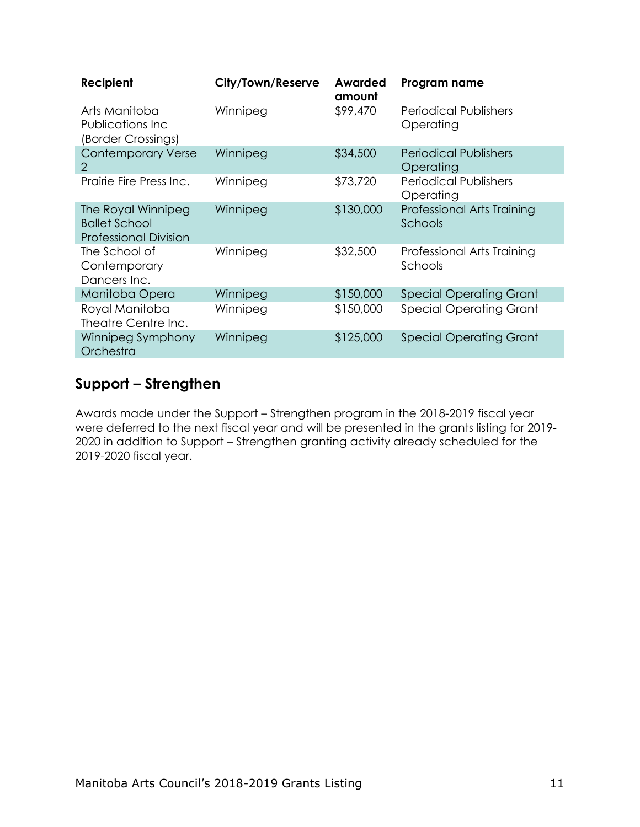| Recipient                                                                  | City/Town/Reserve | Awarded<br>amount | Program name                              |
|----------------------------------------------------------------------------|-------------------|-------------------|-------------------------------------------|
| Arts Manitoba<br>Publications Inc<br>(Border Crossings)                    | Winnipeg          | \$99,470          | Periodical Publishers<br>Operating        |
| <b>Contemporary Verse</b><br>$\mathcal{P}$                                 | Winnipeg          | \$34,500          | <b>Periodical Publishers</b><br>Operating |
| Prairie Fire Press Inc.                                                    | Winnipeg          | \$73,720          | <b>Periodical Publishers</b><br>Operating |
| The Royal Winnipeg<br><b>Ballet School</b><br><b>Professional Division</b> | Winnipeg          | \$130,000         | Professional Arts Training<br>Schools     |
| The School of<br>Contemporary<br>Dancers Inc.                              | Winnipeg          | \$32,500          | Professional Arts Training<br>Schools     |
| Manitoba Opera                                                             | Winnipeg          | \$150,000         | <b>Special Operating Grant</b>            |
| Royal Manitoba<br>Theatre Centre Inc.                                      | Winnipeg          | \$150,000         | <b>Special Operating Grant</b>            |
| Winnipeg Symphony<br>Orchestra                                             | Winnipeg          | \$125,000         | <b>Special Operating Grant</b>            |

### <span id="page-12-0"></span>**Support – Strengthen**

Awards made under the Support – Strengthen program in the 2018-2019 fiscal year were deferred to the next fiscal year and will be presented in the grants listing for 2019- 2020 in addition to Support – Strengthen granting activity already scheduled for the 2019-2020 fiscal year.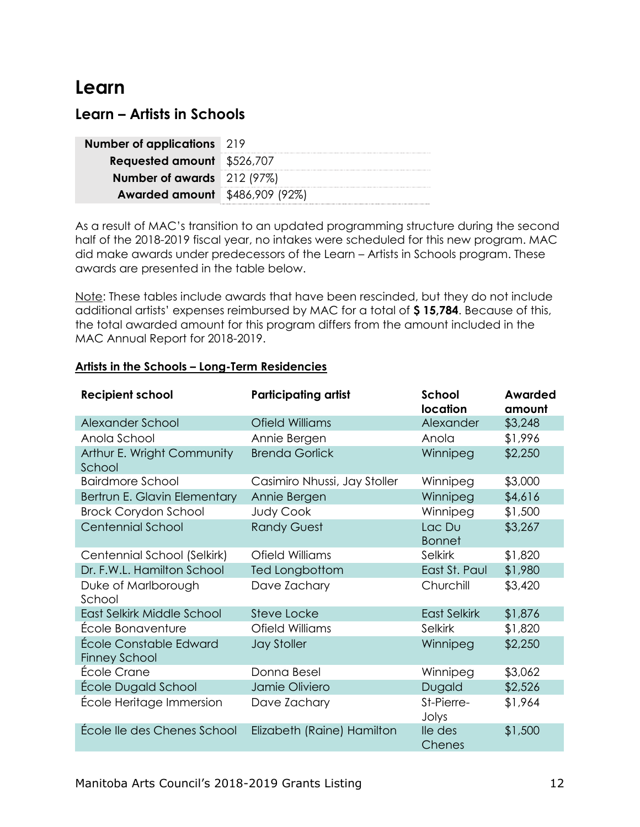# <span id="page-13-0"></span>**Learn**

### <span id="page-13-1"></span>**Learn – Artists in Schools**

| <b>Number of applications</b> 219     |  |
|---------------------------------------|--|
| <b>Requested amount</b> \$526,707     |  |
| Number of awards 212 (97%)            |  |
| <b>Awarded amount</b> \$486,909 (92%) |  |

As a result of MAC's transition to an updated programming structure during the second half of the 2018-2019 fiscal year, no intakes were scheduled for this new program. MAC did make awards under predecessors of the Learn – Artists in Schools program. These awards are presented in the table below.

Note: These tables include awards that have been rescinded, but they do not include additional artists' expenses reimbursed by MAC for a total of **\$ 15,784**. Because of this, the total awarded amount for this program differs from the amount included in the MAC Annual Report for 2018-2019.

#### **Artists in the Schools – Long-Term Residencies**

| <b>Recipient school</b>                        | <b>Participating artist</b>  | School<br>location      | <b>Awarded</b><br>amount |
|------------------------------------------------|------------------------------|-------------------------|--------------------------|
| Alexander School                               | Ofield Williams              | Alexander               | \$3,248                  |
| Anola School                                   | Annie Bergen                 | Anola                   | \$1,996                  |
| Arthur E. Wright Community<br>School           | <b>Brenda Gorlick</b>        | Winnipeg                | \$2,250                  |
| <b>Bairdmore School</b>                        | Casimiro Nhussi, Jay Stoller | Winnipeg                | \$3,000                  |
| Bertrun E. Glavin Elementary                   | Annie Bergen                 | Winnipeg                | \$4,616                  |
| <b>Brock Corydon School</b>                    | <b>Judy Cook</b>             | Winnipeg                | \$1,500                  |
| <b>Centennial School</b>                       | <b>Randy Guest</b>           | Lac Du<br><b>Bonnet</b> | \$3,267                  |
| Centennial School (Selkirk)                    | Ofield Williams              | Selkirk                 | \$1,820                  |
| Dr. F.W.L. Hamilton School                     | Ted Longbottom               | East St. Paul           | \$1,980                  |
| Duke of Marlborough<br>School                  | Dave Zachary                 | Churchill               | \$3,420                  |
| East Selkirk Middle School                     | <b>Steve Locke</b>           | <b>East Selkirk</b>     | \$1,876                  |
| École Bonaventure                              | Ofield Williams              | Selkirk                 | \$1,820                  |
| École Constable Edward<br><b>Finney School</b> | <b>Jay Stoller</b>           | Winnipeg                | \$2,250                  |
| École Crane                                    | Donna Besel                  | Winnipeg                | \$3,062                  |
| École Dugald School                            | Jamie Oliviero               | Dugald                  | \$2,526                  |
| École Heritage Immersion                       | Dave Zachary                 | St-Pierre-<br>Jolys     | \$1,964                  |
| École lle des Chenes School                    | Elizabeth (Raine) Hamilton   | lle des<br>Chenes       | \$1,500                  |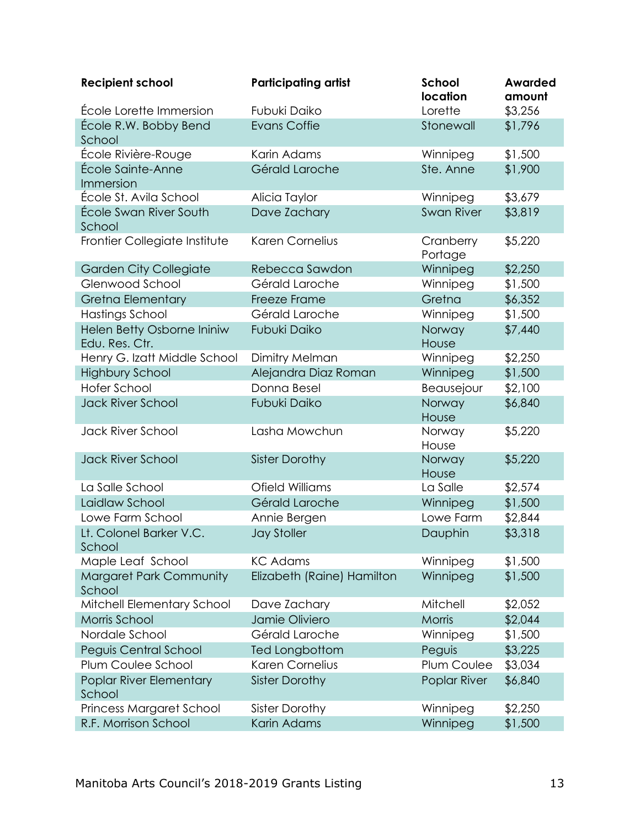| <b>Recipient school</b>                      | <b>Participating artist</b> | School<br>location   | Awarded<br>amount |
|----------------------------------------------|-----------------------------|----------------------|-------------------|
| École Lorette Immersion                      | Fubuki Daiko                | Lorette              | \$3,256           |
| École R.W. Bobby Bend<br>School              | <b>Evans Coffie</b>         | Stonewall            | \$1,796           |
| École Rivière-Rouge                          | Karin Adams                 | Winnipeg             | \$1,500           |
| École Sainte-Anne<br>Immersion               | Gérald Laroche              | Ste. Anne            | \$1,900           |
| École St. Avila School                       | Alicia Taylor               | Winnipeg             | \$3,679           |
| École Swan River South<br>School             | Dave Zachary                | Swan River           | \$3,819           |
| Frontier Collegiate Institute                | <b>Karen Cornelius</b>      | Cranberry<br>Portage | \$5,220           |
| <b>Garden City Collegiate</b>                | Rebecca Sawdon              | Winnipeg             | \$2,250           |
| Glenwood School                              | Gérald Laroche              | Winnipeg             | \$1,500           |
| <b>Gretna Elementary</b>                     | Freeze Frame                | Gretna               | \$6,352           |
| Hastings School                              | Gérald Laroche              | Winnipeg             | \$1,500           |
| Helen Betty Osborne Ininiw<br>Edu. Res. Ctr. | <b>Fubuki Daiko</b>         | Norway<br>House      | \$7,440           |
| Henry G. Izatt Middle School                 | Dimitry Melman              | Winnipeg             | \$2,250           |
| <b>Highbury School</b>                       | Alejandra Diaz Roman        | Winnipeg             | \$1,500           |
| <b>Hofer School</b>                          | Donna Besel                 | Beausejour           | \$2,100           |
| <b>Jack River School</b>                     | Fubuki Daiko                | Norway<br>House      | \$6,840           |
| Jack River School                            | Lasha Mowchun               | Norway<br>House      | \$5,220           |
| <b>Jack River School</b>                     | <b>Sister Dorothy</b>       | Norway<br>House      | \$5,220           |
| La Salle School                              | Ofield Williams             | La Salle             | \$2,574           |
| Laidlaw School                               | Gérald Laroche              | Winnipeg             | \$1,500           |
| Lowe Farm School                             | Annie Bergen                | Lowe Farm            | \$2,844           |
| Lt. Colonel Barker V.C.<br>School            | <b>Jay Stoller</b>          | Dauphin              | \$3,318           |
| Maple Leaf School                            | <b>KC Adams</b>             | Winnipeg             | \$1,500           |
| <b>Margaret Park Community</b><br>School     | Elizabeth (Raine) Hamilton  | Winnipeg             | \$1,500           |
| Mitchell Elementary School                   | Dave Zachary                | Mitchell             | \$2,052           |
| Morris School                                | Jamie Oliviero              | Morris               | \$2,044           |
| Nordale School                               | Gérald Laroche              | Winnipeg             | \$1,500           |
| Peguis Central School                        | <b>Ted Longbottom</b>       | Peguis               | \$3,225           |
| Plum Coulee School                           | Karen Cornelius             | Plum Coulee          | \$3,034           |
| Poplar River Elementary<br>School            | <b>Sister Dorothy</b>       | Poplar River         | \$6,840           |
| <b>Princess Margaret School</b>              | <b>Sister Dorothy</b>       | Winnipeg             | \$2,250           |
| R.F. Morrison School                         | Karin Adams                 | Winnipeg             | \$1,500           |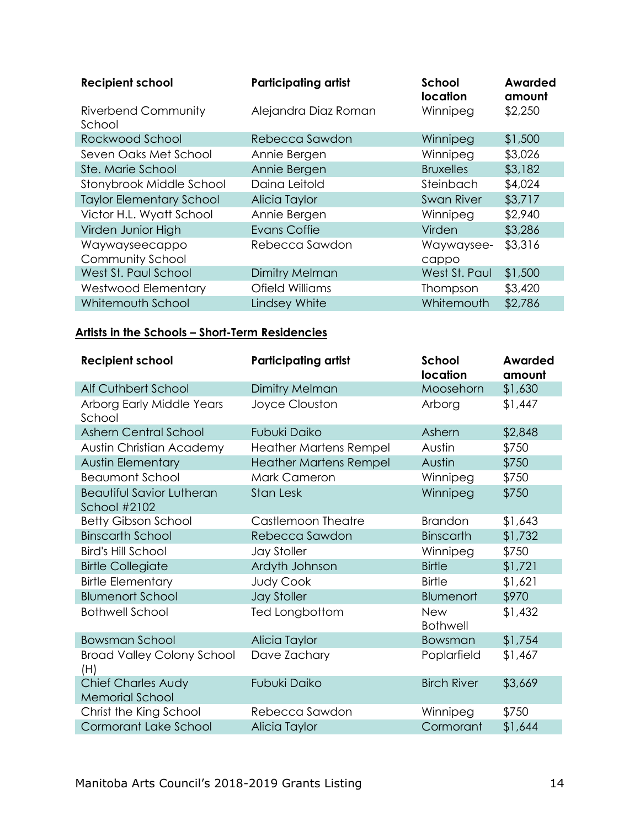| <b>Recipient school</b>              | <b>Participating artist</b> | School<br><b>location</b> | Awarded<br>amount |
|--------------------------------------|-----------------------------|---------------------------|-------------------|
| <b>Riverbend Community</b><br>School | Alejandra Diaz Roman        | Winnipeg                  | \$2,250           |
| Rockwood School                      | Rebecca Sawdon              | Winnipeg                  | \$1,500           |
| Seven Oaks Met School                | Annie Bergen                | Winnipeg                  | \$3,026           |
| Ste. Marie School                    | Annie Bergen                | <b>Bruxelles</b>          | \$3,182           |
| Stonybrook Middle School             | Daina Leitold               | Steinbach                 | \$4,024           |
| <b>Taylor Elementary School</b>      | Alicia Taylor               | <b>Swan River</b>         | \$3,717           |
| Victor H.L. Wyatt School             | Annie Bergen                | Winnipeg                  | \$2,940           |
| Virden Junior High                   | <b>Evans Coffie</b>         | Virden                    | \$3,286           |
| Waywayseecappo<br>Community School   | Rebecca Sawdon              | Waywaysee-<br>cappo       | \$3,316           |
| West St. Paul School                 | Dimitry Melman              | West St. Paul             | \$1,500           |
| <b>Westwood Elementary</b>           | Ofield Williams             | Thompson                  | \$3,420           |
| Whitemouth School                    | Lindsey White               | Whitemouth                | \$2,786           |

#### **Artists in the Schools – Short-Term Residencies**

| <b>Recipient school</b>                             | <b>Participating artist</b>   | School<br>location            | <b>Awarded</b><br>amount |
|-----------------------------------------------------|-------------------------------|-------------------------------|--------------------------|
| Alf Cuthbert School                                 | Dimitry Melman                | Moosehorn                     | \$1,630                  |
| Arborg Early Middle Years<br>School                 | Joyce Clouston                | Arborg                        | \$1,447                  |
| <b>Ashern Central School</b>                        | Fubuki Daiko                  | Ashern                        | \$2,848                  |
| <b>Austin Christian Academy</b>                     | <b>Heather Martens Rempel</b> | Austin                        | \$750                    |
| <b>Austin Elementary</b>                            | <b>Heather Martens Rempel</b> | Austin                        | \$750                    |
| <b>Beaumont School</b>                              | <b>Mark Cameron</b>           | Winnipeg                      | \$750                    |
| <b>Beautiful Savior Lutheran</b><br>School #2102    | <b>Stan Lesk</b>              | Winnipeg                      | \$750                    |
| <b>Betty Gibson School</b>                          | Castlemoon Theatre            | <b>Brandon</b>                | \$1,643                  |
| <b>Binscarth School</b>                             | Rebecca Sawdon                | <b>Binscarth</b>              | \$1,732                  |
| <b>Bird's Hill School</b>                           | <b>Jay Stoller</b>            | Winnipeg                      | \$750                    |
| <b>Birtle Collegiate</b>                            | Ardyth Johnson                | <b>Birtle</b>                 | \$1,721                  |
| <b>Birtle Elementary</b>                            | <b>Judy Cook</b>              | <b>Birtle</b>                 | \$1,621                  |
| <b>Blumenort School</b>                             | <b>Jay Stoller</b>            | Blumenort                     | \$970                    |
| <b>Bothwell School</b>                              | Ted Longbottom                | <b>New</b><br><b>Bothwell</b> | \$1,432                  |
| <b>Bowsman School</b>                               | Alicia Taylor                 | Bowsman                       | \$1,754                  |
| <b>Broad Valley Colony School</b><br>(H)            | Dave Zachary                  | Poplarfield                   | \$1,467                  |
| <b>Chief Charles Audy</b><br><b>Memorial School</b> | Fubuki Daiko                  | <b>Birch River</b>            | \$3,669                  |
| Christ the King School                              | Rebecca Sawdon                | Winnipeg                      | \$750                    |
| <b>Cormorant Lake School</b>                        | Alicia Taylor                 | Cormorant                     | \$1,644                  |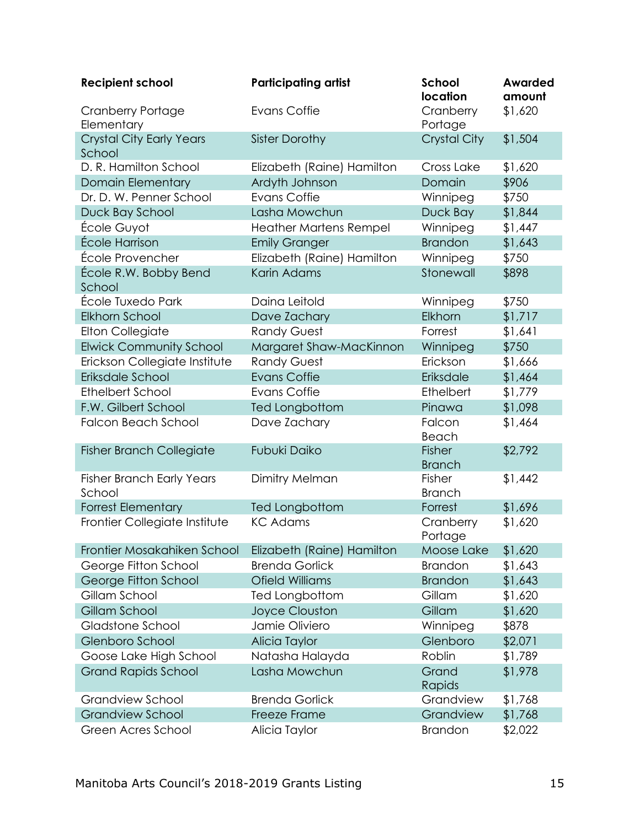| <b>Recipient school</b>                    | <b>Participating artist</b>   | <b>School</b><br>location | <b>Awarded</b><br>amount |
|--------------------------------------------|-------------------------------|---------------------------|--------------------------|
| <b>Cranberry Portage</b><br>Elementary     | Evans Coffie                  | Cranberry<br>Portage      | \$1,620                  |
| <b>Crystal City Early Years</b><br>School  | <b>Sister Dorothy</b>         | <b>Crystal City</b>       | \$1,504                  |
| D. R. Hamilton School                      | Elizabeth (Raine) Hamilton    | Cross Lake                | \$1,620                  |
| <b>Domain Elementary</b>                   | Ardyth Johnson                | Domain                    | \$906                    |
| Dr. D. W. Penner School                    | <b>Evans Coffie</b>           | Winnipeg                  | \$750                    |
| Duck Bay School                            | Lasha Mowchun                 | Duck Bay                  | \$1,844                  |
| École Guyot                                | <b>Heather Martens Rempel</b> | Winnipeg                  | \$1,447                  |
| École Harrison                             | <b>Emily Granger</b>          | <b>Brandon</b>            | \$1,643                  |
| École Provencher                           | Elizabeth (Raine) Hamilton    | Winnipeg                  | \$750                    |
| École R.W. Bobby Bend<br>School            | Karin Adams                   | Stonewall                 | \$898                    |
| École Tuxedo Park                          | Daina Leitold                 | Winnipeg                  | \$750                    |
| Elkhorn School                             | Dave Zachary                  | Elkhorn                   | \$1,717                  |
| <b>Elton Collegiate</b>                    | <b>Randy Guest</b>            | Forrest                   | \$1,641                  |
| <b>Elwick Community School</b>             | Margaret Shaw-MacKinnon       | Winnipeg                  | \$750                    |
| Erickson Collegiate Institute              | <b>Randy Guest</b>            | Erickson                  | \$1,666                  |
| Eriksdale School                           | <b>Evans Coffie</b>           | Eriksdale                 | \$1,464                  |
| <b>Ethelbert School</b>                    | <b>Evans Coffie</b>           | Ethelbert                 | \$1,779                  |
| F.W. Gilbert School                        | Ted Longbottom                | Pinawa                    | \$1,098                  |
| <b>Falcon Beach School</b>                 | Dave Zachary                  | Falcon<br>Beach           | \$1,464                  |
| <b>Fisher Branch Collegiate</b>            | <b>Fubuki Daiko</b>           | Fisher<br><b>Branch</b>   | \$2,792                  |
| <b>Fisher Branch Early Years</b><br>School | Dimitry Melman                | Fisher<br><b>Branch</b>   | \$1,442                  |
| <b>Forrest Elementary</b>                  | Ted Longbottom                | Forrest                   | \$1,696                  |
| Frontier Collegiate Institute              | <b>KC Adams</b>               | Cranberry<br>Portage      | \$1,620                  |
| Frontier Mosakahiken School                | Elizabeth (Raine) Hamilton    | Moose Lake                | \$1,620                  |
| George Fitton School                       | <b>Brenda Gorlick</b>         | <b>Brandon</b>            | \$1,643                  |
| George Fitton School                       | <b>Ofield Williams</b>        | <b>Brandon</b>            | \$1,643                  |
| Gillam School                              | Ted Longbottom                | Gillam                    | \$1,620                  |
| Gillam School                              | <b>Joyce Clouston</b>         | Gillam                    | \$1,620                  |
| Gladstone School                           | Jamie Oliviero                | Winnipeg                  | \$878                    |
| Glenboro School                            | Alicia Taylor                 | Glenboro                  | \$2,071                  |
| Goose Lake High School                     | Natasha Halayda               | Roblin                    | \$1,789                  |
| <b>Grand Rapids School</b>                 | Lasha Mowchun                 | Grand<br>Rapids           | \$1,978                  |
| <b>Grandview School</b>                    | <b>Brenda Gorlick</b>         | Grandview                 | \$1,768                  |
| <b>Grandview School</b>                    | Freeze Frame                  | Grandview                 | \$1,768                  |
| Green Acres School                         | Alicia Taylor                 | <b>Brandon</b>            | \$2,022                  |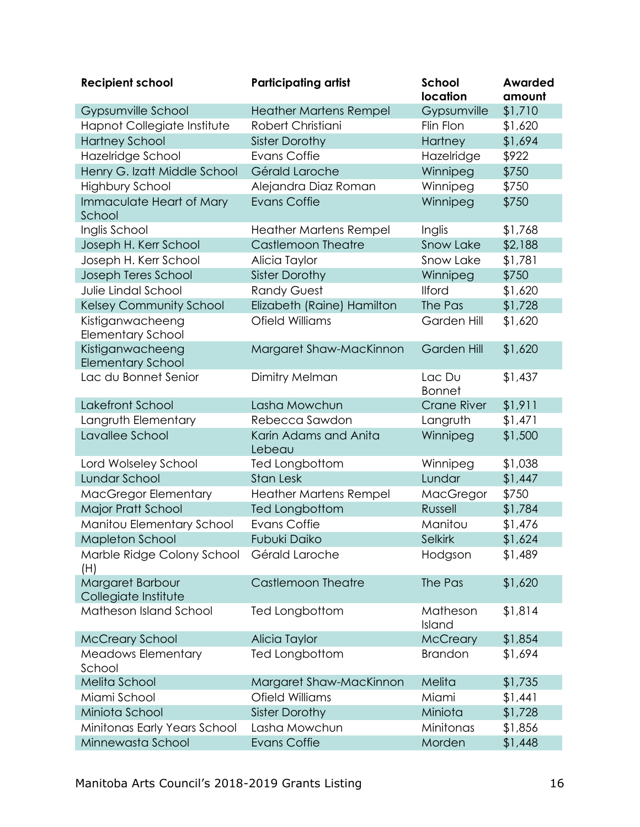| <b>Recipient school</b>                  | <b>Participating artist</b>     | <b>School</b><br>location | <b>Awarded</b><br>amount |
|------------------------------------------|---------------------------------|---------------------------|--------------------------|
| Gypsumville School                       | <b>Heather Martens Rempel</b>   | Gypsumville               | \$1,710                  |
| Hapnot Collegiate Institute              | Robert Christiani               | Flin Flon                 | \$1,620                  |
| <b>Hartney School</b>                    | <b>Sister Dorothy</b>           | Hartney                   | \$1,694                  |
| Hazelridge School                        | <b>Evans Coffie</b>             | Hazelridge                | \$922                    |
| Henry G. Izatt Middle School             | Gérald Laroche                  | Winnipeg                  | \$750                    |
| <b>Highbury School</b>                   | Alejandra Diaz Roman            | Winnipeg                  | \$750                    |
| Immaculate Heart of Mary<br>School       | <b>Evans Coffie</b>             | Winnipeg                  | \$750                    |
| Inglis School                            | <b>Heather Martens Rempel</b>   | Inglis                    | \$1,768                  |
| Joseph H. Kerr School                    | <b>Castlemoon Theatre</b>       | <b>Snow Lake</b>          | \$2,188                  |
| Joseph H. Kerr School                    | Alicia Taylor                   | Snow Lake                 | \$1,781                  |
| Joseph Teres School                      | <b>Sister Dorothy</b>           | Winnipeg                  | \$750                    |
| Julie Lindal School                      | <b>Randy Guest</b>              | <b>Ilford</b>             | \$1,620                  |
| <b>Kelsey Community School</b>           | Elizabeth (Raine) Hamilton      | The Pas                   | \$1,728                  |
| Kistiganwacheeng                         | Ofield Williams                 | Garden Hill               | \$1,620                  |
| <b>Elementary School</b>                 |                                 |                           |                          |
| Kistiganwacheeng                         | Margaret Shaw-MacKinnon         | Garden Hill               | \$1,620                  |
| <b>Elementary School</b>                 |                                 |                           |                          |
| Lac du Bonnet Senior                     | Dimitry Melman                  | Lac Du<br><b>Bonnet</b>   | \$1,437                  |
| Lakefront School                         | Lasha Mowchun                   | <b>Crane River</b>        | \$1,911                  |
| Langruth Elementary                      | Rebecca Sawdon                  | Langruth                  | \$1,471                  |
| Lavallee School                          | Karin Adams and Anita<br>Lebeau | Winnipeg                  | \$1,500                  |
| Lord Wolseley School                     | Ted Longbottom                  | Winnipeg                  | \$1,038                  |
| Lundar School                            | <b>Stan Lesk</b>                | Lundar                    | \$1,447                  |
| MacGregor Elementary                     | <b>Heather Martens Rempel</b>   | MacGregor                 | \$750                    |
| Major Pratt School                       | Ted Longbottom                  | Russell                   | \$1,784                  |
| Manitou Elementary School                | <b>Evans Coffie</b>             | Manitou                   | \$1,476                  |
| Mapleton School                          | Fubuki Daiko                    | <b>Selkirk</b>            | \$1,624                  |
| Marble Ridge Colony School<br>(H)        | Gérald Laroche                  | Hodgson                   | \$1,489                  |
| Margaret Barbour<br>Collegiate Institute | <b>Castlemoon Theatre</b>       | The Pas                   | \$1,620                  |
| Matheson Island School                   | Ted Longbottom                  | Matheson<br>Island        | \$1,814                  |
| <b>McCreary School</b>                   | Alicia Taylor                   | <b>McCreary</b>           | \$1,854                  |
| <b>Meadows Elementary</b><br>School      | Ted Longbottom                  | <b>Brandon</b>            | \$1,694                  |
| Melita School                            | Margaret Shaw-MacKinnon         | Melita                    | \$1,735                  |
| Miami School                             | Ofield Williams                 | Miami                     | \$1,441                  |
| Miniota School                           | <b>Sister Dorothy</b>           | Miniota                   | \$1,728                  |
| Minitonas Early Years School             | Lasha Mowchun                   | Minitonas                 | \$1,856                  |
| Minnewasta School                        | <b>Evans Coffie</b>             | Morden                    | \$1,448                  |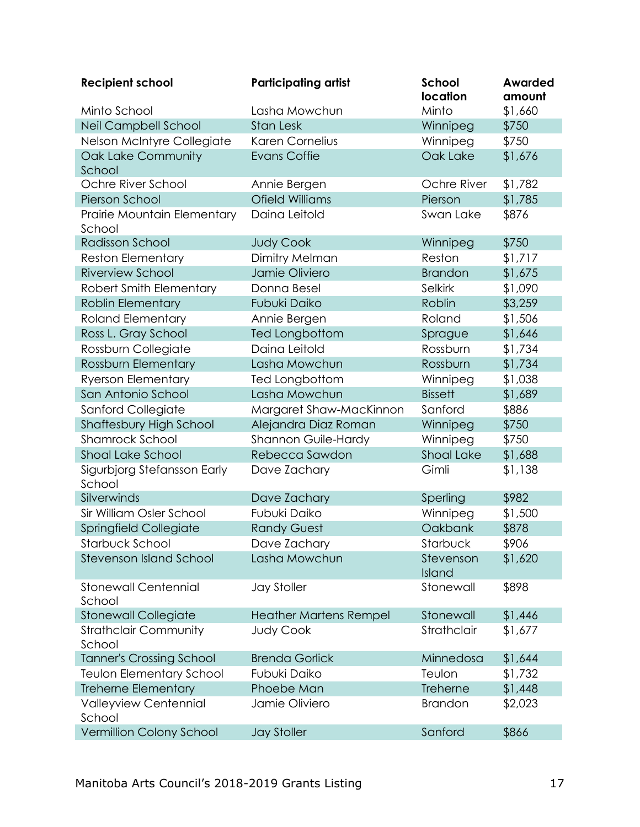| <b>Recipient school</b>                | <b>Participating artist</b>   | School<br>location  | <b>Awarded</b><br>amount |
|----------------------------------------|-------------------------------|---------------------|--------------------------|
| Minto School                           | Lasha Mowchun                 | Minto               | \$1,660                  |
| Neil Campbell School                   | <b>Stan Lesk</b>              | Winnipeg            | \$750                    |
| Nelson McIntyre Collegiate             | <b>Karen Cornelius</b>        | Winnipeg            | \$750                    |
| Oak Lake Community<br>School           | <b>Evans Coffie</b>           | Oak Lake            | \$1,676                  |
| Ochre River School                     | Annie Bergen                  | Ochre River         | \$1,782                  |
| Pierson School                         | <b>Ofield Williams</b>        | Pierson             | \$1,785                  |
| Prairie Mountain Elementary<br>School  | Daina Leitold                 | Swan Lake           | \$876                    |
| <b>Radisson School</b>                 | <b>Judy Cook</b>              | Winnipeg            | \$750                    |
| <b>Reston Elementary</b>               | Dimitry Melman                | Reston              | \$1,717                  |
| <b>Riverview School</b>                | Jamie Oliviero                | <b>Brandon</b>      | \$1,675                  |
| Robert Smith Elementary                | Donna Besel                   | Selkirk             | \$1,090                  |
| <b>Roblin Elementary</b>               | Fubuki Daiko                  | Roblin              | \$3,259                  |
| <b>Roland Elementary</b>               | Annie Bergen                  | Roland              | \$1,506                  |
| Ross L. Gray School                    | Ted Longbottom                | Sprague             | \$1,646                  |
| Rossburn Collegiate                    | Daina Leitold                 | Rossburn            | \$1,734                  |
| Rossburn Elementary                    | Lasha Mowchun                 | Rossburn            | \$1,734                  |
| <b>Ryerson Elementary</b>              | Ted Longbottom                | Winnipeg            | \$1,038                  |
| San Antonio School                     | Lasha Mowchun                 | <b>Bissett</b>      | \$1,689                  |
| Sanford Collegiate                     | Margaret Shaw-MacKinnon       | Sanford             | \$886                    |
| <b>Shaftesbury High School</b>         | Alejandra Diaz Roman          | Winnipeg            | \$750                    |
| Shamrock School                        | Shannon Guile-Hardy           | Winnipeg            | \$750                    |
| <b>Shoal Lake School</b>               | Rebecca Sawdon                | <b>Shoal Lake</b>   | \$1,688                  |
| Sigurbjorg Stefansson Early<br>School  | Dave Zachary                  | Gimli               | \$1,138                  |
| Silverwinds                            | Dave Zachary                  | Sperling            | \$982                    |
| Sir William Osler School               | Fubuki Daiko                  | Winnipeg            | \$1,500                  |
| <b>Springfield Collegiate</b>          | <b>Randy Guest</b>            | Oakbank             | \$878                    |
| Starbuck School                        | Dave Zachary                  | Starbuck            | \$906                    |
| <b>Stevenson Island School</b>         | Lasha Mowchun                 | Stevenson<br>Island | \$1,620                  |
| <b>Stonewall Centennial</b><br>School  | <b>Jay Stoller</b>            | Stonewall           | \$898                    |
| <b>Stonewall Collegiate</b>            | <b>Heather Martens Rempel</b> | Stonewall           | \$1,446                  |
| <b>Strathclair Community</b><br>School | <b>Judy Cook</b>              | Strathclair         | \$1,677                  |
| <b>Tanner's Crossing School</b>        | <b>Brenda Gorlick</b>         | Minnedosa           | \$1,644                  |
| <b>Teulon Elementary School</b>        | Fubuki Daiko                  | Teulon              | \$1,732                  |
| <b>Treherne Elementary</b>             | Phoebe Man                    | Treherne            | \$1,448                  |
| Valleyview Centennial<br>School        | Jamie Oliviero                | <b>Brandon</b>      | \$2,023                  |
| Vermillion Colony School               | <b>Jay Stoller</b>            | Sanford             | \$866                    |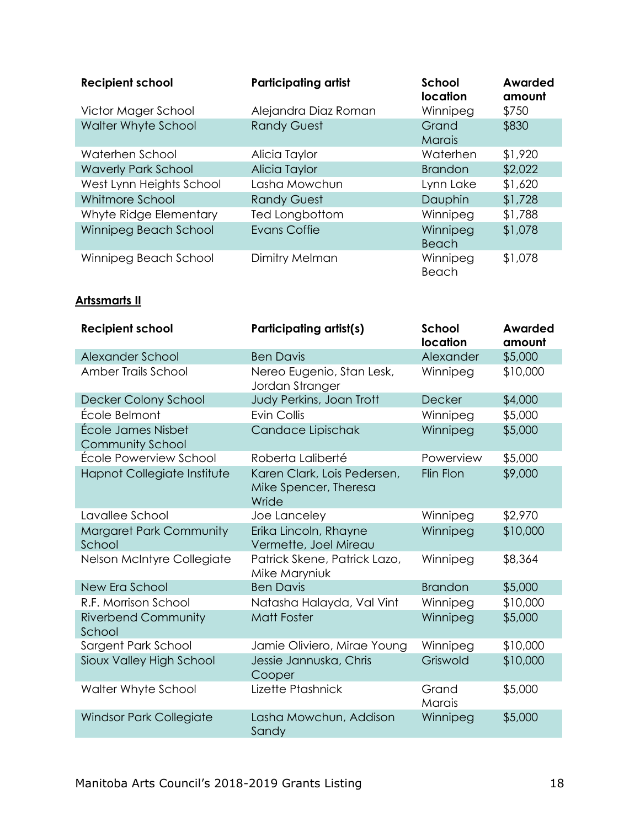| <b>Recipient school</b>    | <b>Participating artist</b> | School<br>location     | Awarded<br>amount |
|----------------------------|-----------------------------|------------------------|-------------------|
| Victor Mager School        | Alejandra Diaz Roman        | Winnipeg               | \$750             |
| Walter Whyte School        | <b>Randy Guest</b>          | Grand<br><b>Marais</b> | \$830             |
| Waterhen School            | Alicia Taylor               | Waterhen               | \$1,920           |
| <b>Waverly Park School</b> | Alicia Taylor               | <b>Brandon</b>         | \$2,022           |
| West Lynn Heights School   | Lasha Mowchun               | Lynn Lake              | \$1,620           |
| Whitmore School            | <b>Randy Guest</b>          | Dauphin                | \$1,728           |
| Whyte Ridge Elementary     | Ted Longbottom              | Winnipeg               | \$1,788           |
| Winnipeg Beach School      | <b>Evans Coffie</b>         | Winnipeg<br>Beach      | \$1,078           |
| Winnipeg Beach School      | Dimitry Melman              | Winnipeg<br>Beach      | \$1,078           |

#### **Artssmarts II**

| <b>Recipient school</b>                       | <b>Participating artist(s)</b>                                | <b>School</b><br>location | <b>Awarded</b><br>amount |
|-----------------------------------------------|---------------------------------------------------------------|---------------------------|--------------------------|
| Alexander School                              | <b>Ben Davis</b>                                              | Alexander                 | \$5,000                  |
| Amber Trails School                           | Nereo Eugenio, Stan Lesk,<br>Jordan Stranger                  | Winnipeg                  | \$10,000                 |
| Decker Colony School                          | Judy Perkins, Joan Trott                                      | <b>Decker</b>             | \$4,000                  |
| École Belmont                                 | <b>Evin Collis</b>                                            | Winnipeg                  | \$5,000                  |
| École James Nisbet<br><b>Community School</b> | Candace Lipischak                                             | Winnipeg                  | \$5,000                  |
| École Powerview School                        | Roberta Laliberté                                             | Powerview                 | \$5,000                  |
| Hapnot Collegiate Institute                   | Karen Clark, Lois Pedersen,<br>Mike Spencer, Theresa<br>Wride | Flin Flon                 | \$9,000                  |
| Lavallee School                               | Joe Lanceley                                                  | Winnipeg                  | \$2,970                  |
| Margaret Park Community<br>School             | Erika Lincoln, Rhayne<br>Vermette, Joel Mireau                | Winnipeg                  | \$10,000                 |
| Nelson McIntyre Collegiate                    | Patrick Skene, Patrick Lazo,<br>Mike Maryniuk                 | Winnipeg                  | \$8,364                  |
| New Era School                                | <b>Ben Davis</b>                                              | <b>Brandon</b>            | \$5,000                  |
| R.F. Morrison School                          | Natasha Halayda, Val Vint                                     | Winnipeg                  | \$10,000                 |
| <b>Riverbend Community</b><br>School          | <b>Matt Foster</b>                                            | Winnipeg                  | \$5,000                  |
| Sargent Park School                           | Jamie Oliviero, Mirae Young                                   | Winnipeg                  | \$10,000                 |
| Sioux Valley High School                      | Jessie Jannuska, Chris<br>Cooper                              | Griswold                  | \$10,000                 |
| Walter Whyte School                           | Lizette Ptashnick                                             | Grand<br>Marais           | \$5,000                  |
| Windsor Park Collegiate                       | Lasha Mowchun, Addison<br>Sandy                               | Winnipeg                  | \$5,000                  |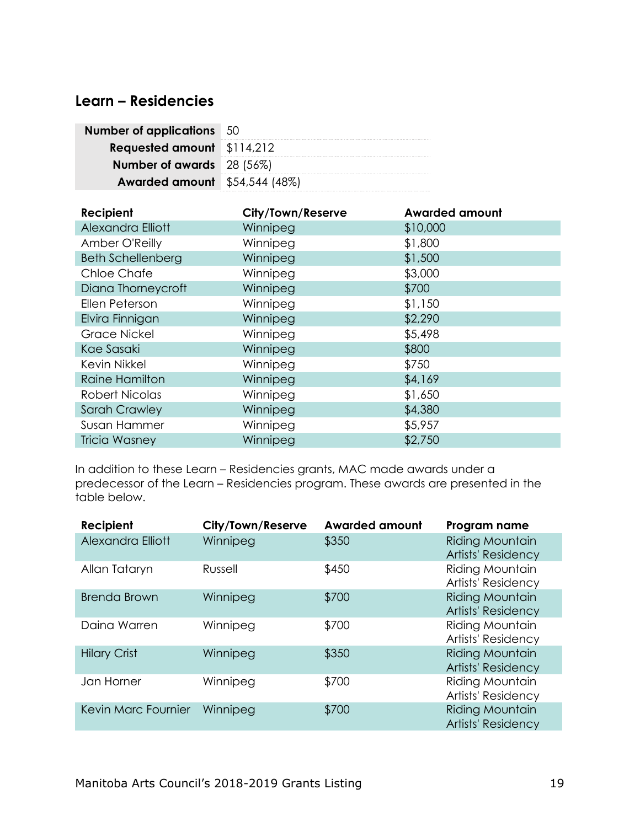### <span id="page-20-0"></span>**Learn – Residencies**

| <b>Number of applications</b> 50     |  |
|--------------------------------------|--|
| <b>Requested amount</b> \$114,212    |  |
| <b>Number of awards</b> 28 (56%)     |  |
| <b>Awarded amount</b> \$54,544 (48%) |  |

| Recipient                | City/Town/Reserve | <b>Awarded amount</b> |
|--------------------------|-------------------|-----------------------|
| Alexandra Elliott        | Winnipeg          | \$10,000              |
| Amber O'Reilly           | Winnipeg          | \$1,800               |
| <b>Beth Schellenberg</b> | Winnipeg          | \$1,500               |
| <b>Chloe Chafe</b>       | Winnipeg          | \$3,000               |
| Diana Thorneycroft       | Winnipeg          | \$700                 |
| Ellen Peterson           | Winnipeg          | \$1,150               |
| Elvira Finnigan          | Winnipeg          | \$2,290               |
| <b>Grace Nickel</b>      | Winnipeg          | \$5,498               |
| Kae Sasaki               | Winnipeg          | \$800                 |
| Kevin Nikkel             | Winnipeg          | \$750                 |
| <b>Raine Hamilton</b>    | Winnipeg          | \$4,169               |
| <b>Robert Nicolas</b>    | Winnipeg          | \$1,650               |
| <b>Sarah Crawley</b>     | Winnipeg          | \$4,380               |
| Susan Hammer             | Winnipeg          | \$5,957               |
| <b>Tricia Wasney</b>     | Winnipeg          | \$2,750               |

In addition to these Learn – Residencies grants, MAC made awards under a predecessor of the Learn – Residencies program. These awards are presented in the table below.

| Recipient           | City/Town/Reserve | <b>Awarded amount</b> | Program name                                        |
|---------------------|-------------------|-----------------------|-----------------------------------------------------|
| Alexandra Elliott   | Winnipeg          | \$350                 | <b>Riding Mountain</b><br><b>Artists' Residency</b> |
| Allan Tataryn       | Russell           | \$450                 | <b>Riding Mountain</b><br>Artists' Residency        |
| <b>Brenda Brown</b> | Winnipeg          | \$700                 | <b>Riding Mountain</b><br><b>Artists' Residency</b> |
| Daina Warren        | Winnipeg          | \$700                 | <b>Riding Mountain</b><br><b>Artists' Residency</b> |
| <b>Hilary Crist</b> | Winnipeg          | \$350                 | <b>Riding Mountain</b><br>Artists' Residency        |
| Jan Horner          | Winnipeg          | \$700                 | Riding Mountain<br>Artists' Residency               |
| Kevin Marc Fournier | Winnipeg          | \$700                 | <b>Riding Mountain</b><br><b>Artists' Residency</b> |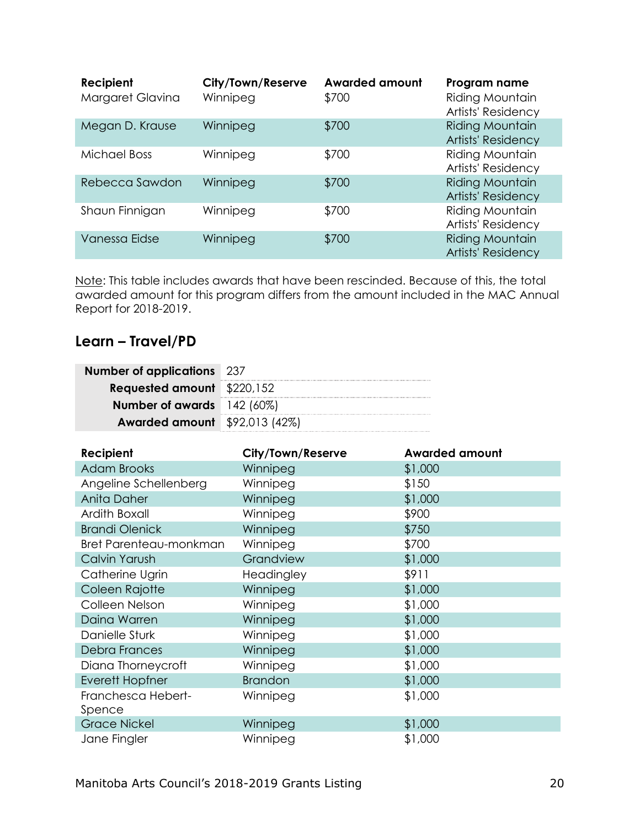| Recipient<br>Margaret Glavina | City/Town/Reserve<br>Winnipeg | <b>Awarded amount</b><br>\$700 | Program name<br>Riding Mountain<br>Artists' Residency |
|-------------------------------|-------------------------------|--------------------------------|-------------------------------------------------------|
| Megan D. Krause               | Winnipeg                      | \$700                          | <b>Riding Mountain</b><br><b>Artists' Residency</b>   |
| <b>Michael Boss</b>           | Winnipeg                      | \$700                          | Riding Mountain<br>Artists' Residency                 |
| Rebecca Sawdon                | Winnipeg                      | \$700                          | <b>Riding Mountain</b><br>Artists' Residency          |
| Shaun Finnigan                | Winnipeg                      | \$700                          | Riding Mountain<br>Artists' Residency                 |
| Vanessa Eidse                 | Winnipeg                      | \$700                          | <b>Riding Mountain</b><br><b>Artists' Residency</b>   |

Note: This table includes awards that have been rescinded. Because of this, the total awarded amount for this program differs from the amount included in the MAC Annual Report for 2018-2019.

# <span id="page-21-0"></span>**Learn – Travel/PD**

| <b>Number of applications</b> 237    |  |
|--------------------------------------|--|
| <b>Requested amount</b> \$220,152    |  |
| <b>Number of awards</b> 142 (60%)    |  |
| <b>Awarded amount</b> \$92,013 (42%) |  |

| Recipient              | City/Town/Reserve | <b>Awarded amount</b> |
|------------------------|-------------------|-----------------------|
| <b>Adam Brooks</b>     | Winnipeg          | \$1,000               |
| Angeline Schellenberg  | Winnipeg          | \$150                 |
| Anita Daher            | Winnipeg          | \$1,000               |
| Ardith Boxall          | Winnipeg          | \$900                 |
| <b>Brandi Olenick</b>  | Winnipeg          | \$750                 |
| Bret Parenteau-monkman | Winnipeg          | \$700                 |
| Calvin Yarush          | Grandview         | \$1,000               |
| Catherine Ugrin        | Headingley        | \$911                 |
| Coleen Rajotte         | Winnipeg          | \$1,000               |
| Colleen Nelson         | Winnipeg          | \$1,000               |
| Daina Warren           | Winnipeg          | \$1,000               |
| Danielle Sturk         | Winnipeg          | \$1,000               |
| <b>Debra Frances</b>   | Winnipeg          | \$1,000               |
| Diana Thorneycroft     | Winnipeg          | \$1,000               |
| <b>Everett Hopfner</b> | <b>Brandon</b>    | \$1,000               |
| Franchesca Hebert-     | Winnipeg          | \$1,000               |
| Spence                 |                   |                       |
| <b>Grace Nickel</b>    | Winnipeg          | \$1,000               |
| Jane Fingler           | Winnipeg          | \$1,000               |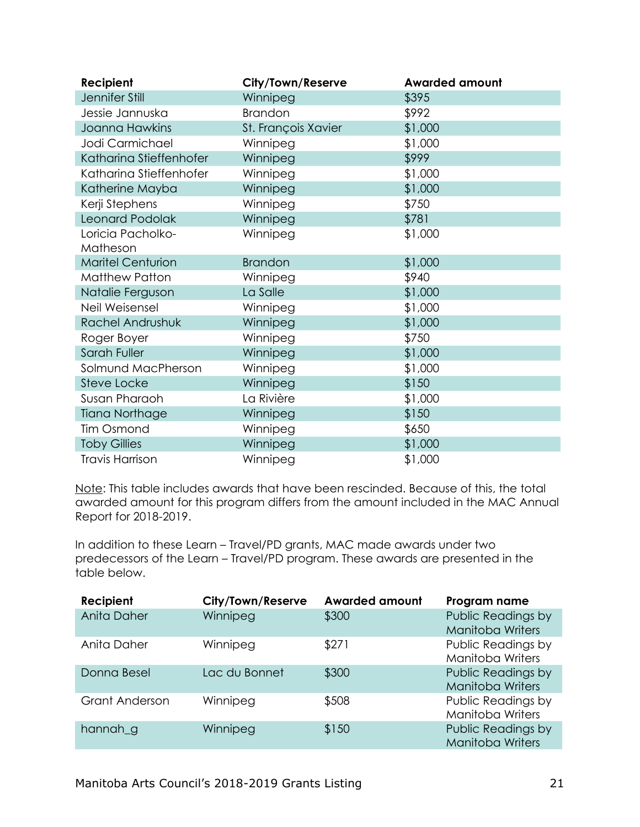| Recipient                | City/Town/Reserve   | <b>Awarded amount</b> |
|--------------------------|---------------------|-----------------------|
| Jennifer Still           | Winnipeg            | \$395                 |
| Jessie Jannuska          | Brandon             | \$992                 |
| Joanna Hawkins           | St. François Xavier | \$1,000               |
| Jodi Carmichael          | Winnipeg            | \$1,000               |
| Katharina Stieffenhofer  | Winnipeg            | \$999                 |
| Katharina Stieffenhofer  | Winnipeg            | \$1,000               |
| Katherine Mayba          | Winnipeg            | \$1,000               |
| Kerji Stephens           | Winnipeg            | \$750                 |
| Leonard Podolak          | Winnipeg            | \$781                 |
| Loricia Pacholko-        | Winnipeg            | \$1,000               |
| Matheson                 |                     |                       |
| <b>Maritel Centurion</b> | <b>Brandon</b>      | \$1,000               |
| <b>Matthew Patton</b>    | Winnipeg            | \$940                 |
| Natalie Ferguson         | La Salle            | \$1,000               |
| Neil Weisensel           | Winnipeg            | \$1,000               |
| Rachel Andrushuk         | Winnipeg            | \$1,000               |
| Roger Boyer              | Winnipeg            | \$750                 |
| Sarah Fuller             | Winnipeg            | \$1,000               |
| Solmund MacPherson       | Winnipeg            | \$1,000               |
| Steve Locke              | Winnipeg            | \$150                 |
| Susan Pharaoh            | La Rivière          | \$1,000               |
| <b>Tiana Northage</b>    | Winnipeg            | \$150                 |
| <b>Tim Osmond</b>        | Winnipeg            | \$650                 |
| <b>Toby Gillies</b>      | Winnipeg            | \$1,000               |
| <b>Travis Harrison</b>   | Winnipeg            | \$1,000               |

Note: This table includes awards that have been rescinded. Because of this, the total awarded amount for this program differs from the amount included in the MAC Annual Report for 2018-2019.

In addition to these Learn – Travel/PD grants, MAC made awards under two predecessors of the Learn – Travel/PD program. These awards are presented in the table below.

| Recipient             | City/Town/Reserve | <b>Awarded amount</b> | Program name                                  |
|-----------------------|-------------------|-----------------------|-----------------------------------------------|
| Anita Daher           | Winnipeg          | \$300                 | Public Readings by<br><b>Manitoba Writers</b> |
| Anita Daher           | Winnipeg          | \$271                 | Public Readings by<br>Manitoba Writers        |
| Donna Besel           | Lac du Bonnet     | \$300                 | Public Readings by<br><b>Manitoba Writers</b> |
| <b>Grant Anderson</b> | Winnipeg          | \$508                 | Public Readings by<br><b>Manitoba Writers</b> |
| hannah_g              | Winnipeg          | \$150                 | Public Readings by<br><b>Manitoba Writers</b> |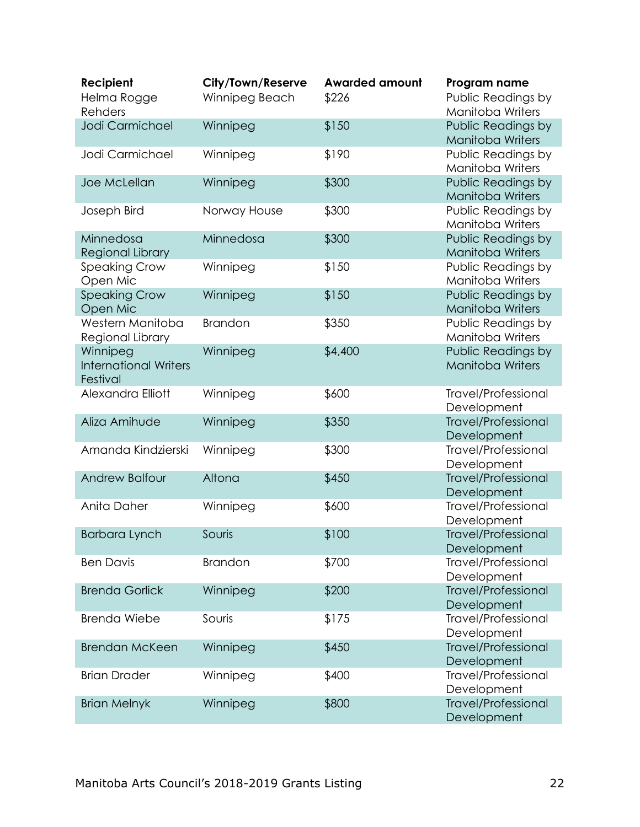| Recipient<br>Helma Rogge<br><b>Rehders</b>           | City/Town/Reserve<br>Winnipeg Beach | <b>Awarded amount</b><br>\$226 | Program name<br>Public Readings by<br><b>Manitoba Writers</b> |
|------------------------------------------------------|-------------------------------------|--------------------------------|---------------------------------------------------------------|
| Jodi Carmichael                                      | Winnipeg                            | \$150                          | Public Readings by<br><b>Manitoba Writers</b>                 |
| Jodi Carmichael                                      | Winnipeg                            | \$190                          | Public Readings by<br><b>Manitoba Writers</b>                 |
| Joe McLellan                                         | Winnipeg                            | \$300                          | Public Readings by<br><b>Manitoba Writers</b>                 |
| Joseph Bird                                          | Norway House                        | \$300                          | Public Readings by<br><b>Manitoba Writers</b>                 |
| Minnedosa<br>Regional Library                        | Minnedosa                           | \$300                          | Public Readings by<br><b>Manitoba Writers</b>                 |
| <b>Speaking Crow</b><br>Open Mic                     | Winnipeg                            | \$150                          | Public Readings by<br><b>Manitoba Writers</b>                 |
| <b>Speaking Crow</b><br>Open Mic                     | Winnipeg                            | \$150                          | Public Readings by<br><b>Manitoba Writers</b>                 |
| Western Manitoba<br>Regional Library                 | <b>Brandon</b>                      | \$350                          | Public Readings by<br><b>Manitoba Writers</b>                 |
| Winnipeg<br><b>International Writers</b><br>Festival | Winnipeg                            | \$4,400                        | Public Readings by<br><b>Manitoba Writers</b>                 |
| Alexandra Elliott                                    | Winnipeg                            | \$600                          | <b>Travel/Professional</b><br>Development                     |
| Aliza Amihude                                        | Winnipeg                            | \$350                          | <b>Travel/Professional</b><br>Development                     |
| Amanda Kindzierski                                   | Winnipeg                            | \$300                          | <b>Travel/Professional</b><br>Development                     |
| <b>Andrew Balfour</b>                                | Altona                              | \$450                          | <b>Travel/Professional</b><br>Development                     |
| Anita Daher                                          | Winnipeg                            | \$600                          | Travel/Professional<br>Development                            |
| <b>Barbara Lynch</b>                                 | Souris                              | \$100                          | <b>Travel/Professional</b><br>Development                     |
| <b>Ben Davis</b>                                     | <b>Brandon</b>                      | \$700                          | Travel/Professional<br>Development                            |
| <b>Brenda Gorlick</b>                                | Winnipeg                            | \$200                          | <b>Travel/Professional</b><br>Development                     |
| Brenda Wiebe                                         | Souris                              | \$175                          | <b>Travel/Professional</b><br>Development                     |
| <b>Brendan McKeen</b>                                | Winnipeg                            | \$450                          | <b>Travel/Professional</b><br>Development                     |
| <b>Brian Drader</b>                                  | Winnipeg                            | \$400                          | Travel/Professional<br>Development                            |
| <b>Brian Melnyk</b>                                  | Winnipeg                            | \$800                          | <b>Travel/Professional</b><br>Development                     |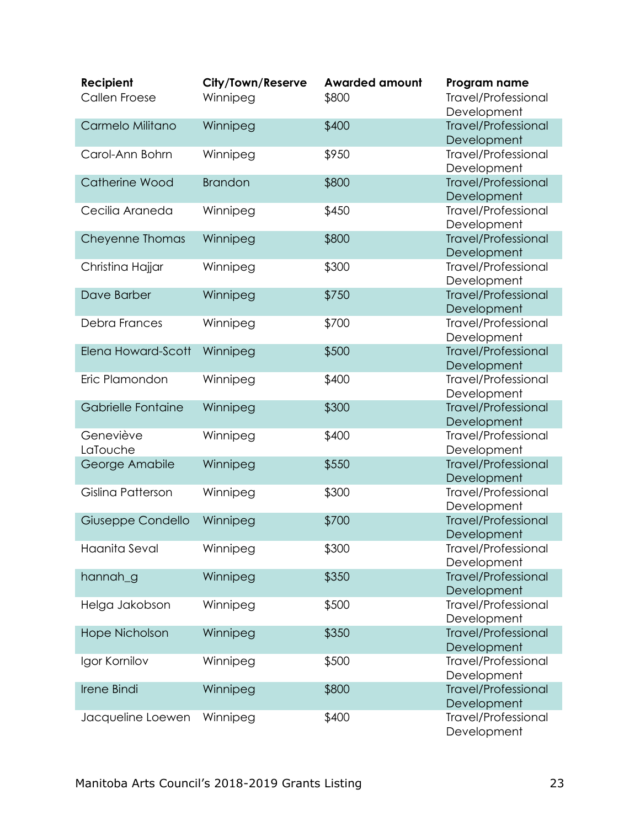| Recipient          | City/Town/Reserve | <b>Awarded amount</b> | Program name                              |
|--------------------|-------------------|-----------------------|-------------------------------------------|
| Callen Froese      | Winnipeg          | \$800                 | <b>Travel/Professional</b>                |
|                    |                   |                       | Development                               |
| Carmelo Militano   | Winnipeg          | \$400                 | <b>Travel/Professional</b>                |
|                    |                   |                       | Development                               |
| Carol-Ann Bohrn    | Winnipeg          | \$950                 | <b>Travel/Professional</b>                |
| Catherine Wood     | <b>Brandon</b>    | \$800                 | Development<br><b>Travel/Professional</b> |
|                    |                   |                       | Development                               |
| Cecilia Araneda    | Winnipeg          | \$450                 | <b>Travel/Professional</b>                |
|                    |                   |                       | Development                               |
| Cheyenne Thomas    | Winnipeg          | \$800                 | <b>Travel/Professional</b>                |
|                    |                   |                       | Development                               |
| Christina Hajjar   | Winnipeg          | \$300                 | <b>Travel/Professional</b>                |
|                    |                   |                       | Development                               |
| Dave Barber        | Winnipeg          | \$750                 | <b>Travel/Professional</b>                |
|                    |                   |                       | Development                               |
| Debra Frances      | Winnipeg          | \$700                 | <b>Travel/Professional</b>                |
|                    |                   |                       | Development                               |
| Elena Howard-Scott | Winnipeg          | \$500                 | <b>Travel/Professional</b><br>Development |
| Eric Plamondon     | Winnipeg          | \$400                 | <b>Travel/Professional</b>                |
|                    |                   |                       | Development                               |
| Gabrielle Fontaine | Winnipeg          | \$300                 | <b>Travel/Professional</b>                |
|                    |                   |                       | Development                               |
| Geneviève          | Winnipeg          | \$400                 | <b>Travel/Professional</b>                |
| LaTouche           |                   |                       | Development                               |
| George Amabile     | Winnipeg          | \$550                 | <b>Travel/Professional</b>                |
|                    |                   |                       | Development                               |
| Gislina Patterson  | Winnipeg          | \$300                 | <b>Travel/Professional</b>                |
|                    |                   |                       | Development                               |
| Giuseppe Condello  | Winnipeg          | \$700                 | <b>Travel/Professional</b>                |
| Haanita Seval      | Winnipeg          | \$300                 | Development<br><b>Travel/Professional</b> |
|                    |                   |                       | Development                               |
| hannah_g           | Winnipeg          | \$350                 | <b>Travel/Professional</b>                |
|                    |                   |                       | Development                               |
| Helga Jakobson     | Winnipeg          | \$500                 | <b>Travel/Professional</b>                |
|                    |                   |                       | Development                               |
| Hope Nicholson     | Winnipeg          | \$350                 | <b>Travel/Professional</b>                |
|                    |                   |                       | Development                               |
| Igor Kornilov      | Winnipeg          | \$500                 | <b>Travel/Professional</b>                |
|                    |                   |                       | Development                               |
| Irene Bindi        | Winnipeg          | \$800                 | <b>Travel/Professional</b>                |
|                    |                   |                       | Development                               |
| Jacqueline Loewen  | Winnipeg          | \$400                 | <b>Travel/Professional</b>                |
|                    |                   |                       | Development                               |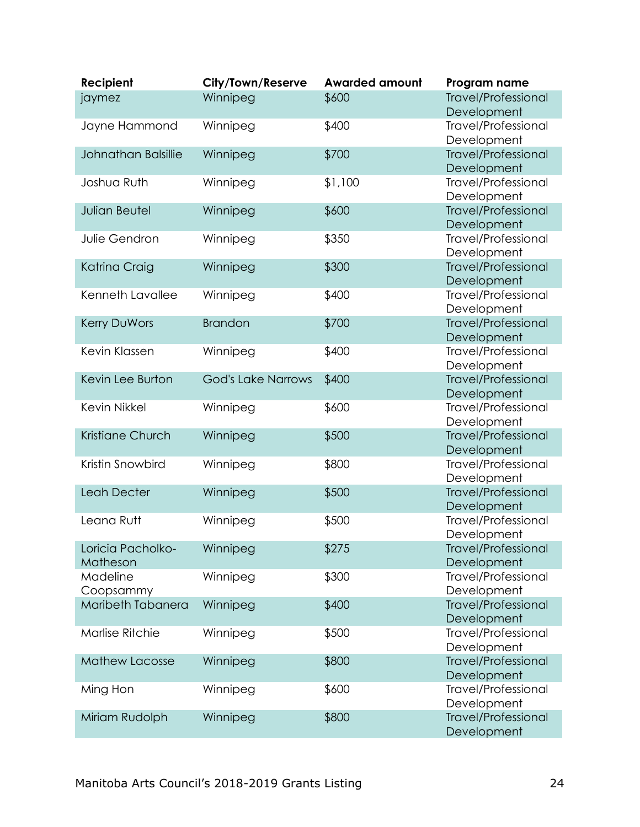| Recipient              | City/Town/Reserve         | <b>Awarded amount</b> | Program name                              |
|------------------------|---------------------------|-----------------------|-------------------------------------------|
| jaymez                 | Winnipeg                  | \$600                 | <b>Travel/Professional</b>                |
|                        |                           |                       | Development                               |
| Jayne Hammond          | Winnipeg                  | \$400                 | <b>Travel/Professional</b>                |
|                        |                           |                       | Development                               |
| Johnathan Balsillie    | Winnipeg                  | \$700                 | <b>Travel/Professional</b>                |
| Joshua Ruth            | Winnipeg                  | \$1,100               | Development<br>Travel/Professional        |
|                        |                           |                       | Development                               |
| <b>Julian Beutel</b>   | Winnipeg                  | \$600                 | <b>Travel/Professional</b>                |
|                        |                           |                       | Development                               |
| Julie Gendron          | Winnipeg                  | \$350                 | <b>Travel/Professional</b>                |
|                        |                           |                       | Development                               |
| Katrina Craig          | Winnipeg                  | \$300                 | <b>Travel/Professional</b>                |
|                        |                           |                       | Development                               |
| Kenneth Lavallee       | Winnipeg                  | \$400                 | <b>Travel/Professional</b>                |
|                        |                           |                       | Development                               |
| Kerry DuWors           | <b>Brandon</b>            | \$700                 | <b>Travel/Professional</b>                |
|                        |                           |                       | Development                               |
| Kevin Klassen          | Winnipeg                  | \$400                 | <b>Travel/Professional</b>                |
|                        |                           |                       | Development                               |
| Kevin Lee Burton       | <b>God's Lake Narrows</b> | \$400                 | <b>Travel/Professional</b>                |
|                        |                           |                       | Development                               |
| <b>Kevin Nikkel</b>    | Winnipeg                  | \$600                 | <b>Travel/Professional</b><br>Development |
| Kristiane Church       | Winnipeg                  | \$500                 | <b>Travel/Professional</b>                |
|                        |                           |                       | Development                               |
| Kristin Snowbird       | Winnipeg                  | \$800                 | <b>Travel/Professional</b>                |
|                        |                           |                       | Development                               |
| Leah Decter            | Winnipeg                  | \$500                 | <b>Travel/Professional</b>                |
|                        |                           |                       | Development                               |
| Leana Rutt             | Winnipeg                  | \$500                 | <b>Travel/Professional</b>                |
|                        |                           |                       | Development                               |
| Loricia Pacholko-      | Winnipeg                  | \$275                 | <b>Travel/Professional</b>                |
| Matheson               |                           |                       | Development                               |
| Madeline               | Winnipeg                  | \$300                 | Travel/Professional                       |
| Coopsammy              |                           |                       | Development                               |
| Maribeth Tabanera      | Winnipeg                  | \$400                 | <b>Travel/Professional</b>                |
| <b>Marlise Ritchie</b> | Winnipeg                  | \$500                 | Development<br>Travel/Professional        |
|                        |                           |                       | Development                               |
| <b>Mathew Lacosse</b>  | Winnipeg                  | \$800                 | <b>Travel/Professional</b>                |
|                        |                           |                       | Development                               |
| Ming Hon               | Winnipeg                  | \$600                 | <b>Travel/Professional</b>                |
|                        |                           |                       | Development                               |
| Miriam Rudolph         | Winnipeg                  | \$800                 | <b>Travel/Professional</b>                |
|                        |                           |                       | Development                               |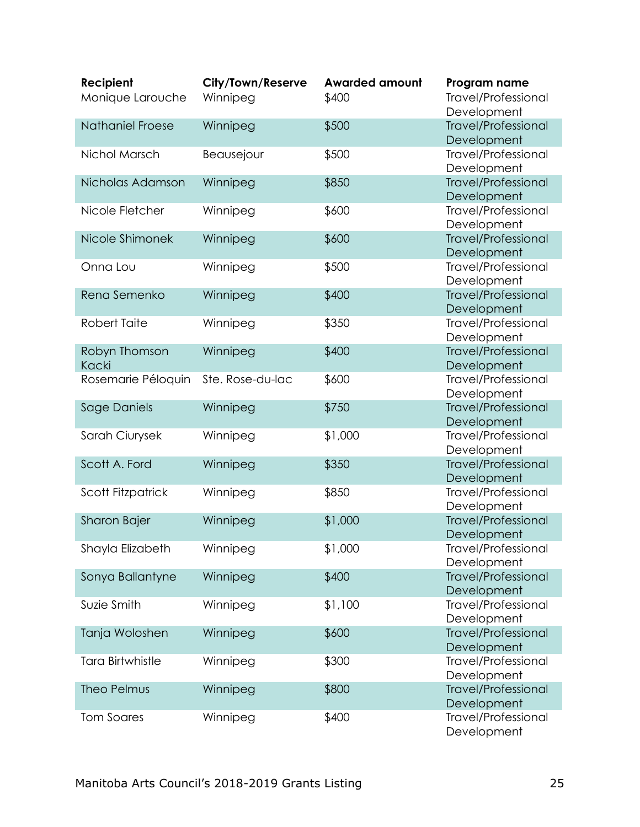| Recipient               | City/Town/Reserve | <b>Awarded amount</b> | Program name                              |
|-------------------------|-------------------|-----------------------|-------------------------------------------|
| Monique Larouche        | Winnipeg          | \$400                 | <b>Travel/Professional</b>                |
|                         |                   |                       | Development                               |
| <b>Nathaniel Froese</b> | Winnipeg          | \$500                 | <b>Travel/Professional</b><br>Development |
| Nichol Marsch           | Beausejour        | \$500                 | <b>Travel/Professional</b>                |
|                         |                   |                       | Development                               |
| Nicholas Adamson        | Winnipeg          | \$850                 | <b>Travel/Professional</b>                |
|                         |                   |                       | Development                               |
| Nicole Fletcher         | Winnipeg          | \$600                 | <b>Travel/Professional</b>                |
|                         |                   |                       | Development                               |
| Nicole Shimonek         | Winnipeg          | \$600                 | <b>Travel/Professional</b>                |
| Onna Lou                | Winnipeg          | \$500                 | Development<br><b>Travel/Professional</b> |
|                         |                   |                       | Development                               |
| Rena Semenko            | Winnipeg          | \$400                 | <b>Travel/Professional</b>                |
|                         |                   |                       | Development                               |
| Robert Taite            | Winnipeg          | \$350                 | <b>Travel/Professional</b>                |
|                         |                   |                       | Development                               |
| Robyn Thomson           | Winnipeg          | \$400                 | <b>Travel/Professional</b>                |
| Kacki                   |                   |                       | Development                               |
| Rosemarie Péloquin      | Ste. Rose-du-lac  | \$600                 | <b>Travel/Professional</b><br>Development |
| Sage Daniels            | Winnipeg          | \$750                 | <b>Travel/Professional</b>                |
|                         |                   |                       | Development                               |
| Sarah Ciurysek          | Winnipeg          | \$1,000               | <b>Travel/Professional</b>                |
|                         |                   |                       | Development                               |
| Scott A. Ford           | Winnipeg          | \$350                 | <b>Travel/Professional</b>                |
| Scott Fitzpatrick       |                   | \$850                 | Development<br><b>Travel/Professional</b> |
|                         | Winnipeg          |                       | Development                               |
| Sharon Bajer            | Winnipeg          | \$1,000               | <b>Travel/Professional</b>                |
|                         |                   |                       | Development                               |
| Shayla Elizabeth        | Winnipeg          | \$1,000               | Travel/Professional                       |
|                         |                   |                       | Development                               |
| Sonya Ballantyne        | Winnipeg          | \$400                 | <b>Travel/Professional</b>                |
| Suzie Smith             |                   | \$1,100               | Development<br>Travel/Professional        |
|                         | Winnipeg          |                       | Development                               |
| Tanja Woloshen          | Winnipeg          | \$600                 | <b>Travel/Professional</b>                |
|                         |                   |                       | Development                               |
| <b>Tara Birtwhistle</b> | Winnipeg          | \$300                 | <b>Travel/Professional</b>                |
|                         |                   |                       | Development                               |
| Theo Pelmus             | Winnipeg          | \$800                 | <b>Travel/Professional</b>                |
|                         |                   |                       | Development                               |
| <b>Tom Soares</b>       | Winnipeg          | \$400                 | <b>Travel/Professional</b><br>Development |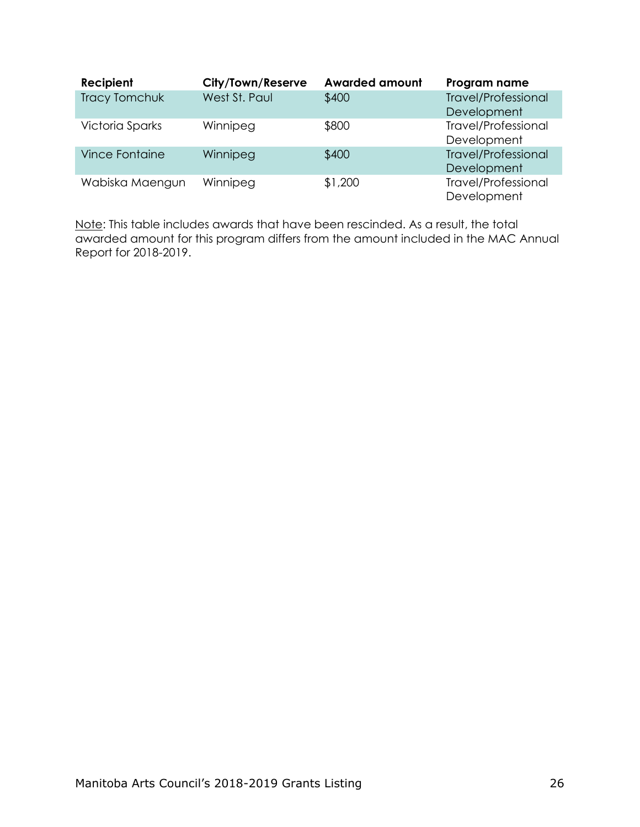| Recipient             | City/Town/Reserve | <b>Awarded amount</b> | Program name                              |
|-----------------------|-------------------|-----------------------|-------------------------------------------|
| <b>Tracy Tomchuk</b>  | West St. Paul     | \$400                 | <b>Travel/Professional</b>                |
|                       |                   |                       | Development                               |
| Victoria Sparks       | Winnipeg          | \$800                 | <b>Travel/Professional</b><br>Development |
| <b>Vince Fontaine</b> | Winnipeg          | \$400                 | <b>Travel/Professional</b>                |
|                       |                   |                       | Development                               |
| Wabiska Maengun       | Winnipeg          | \$1,200               | <b>Travel/Professional</b><br>Development |

<span id="page-27-0"></span>Note: This table includes awards that have been rescinded. As a result, the total awarded amount for this program differs from the amount included in the MAC Annual Report for 2018-2019.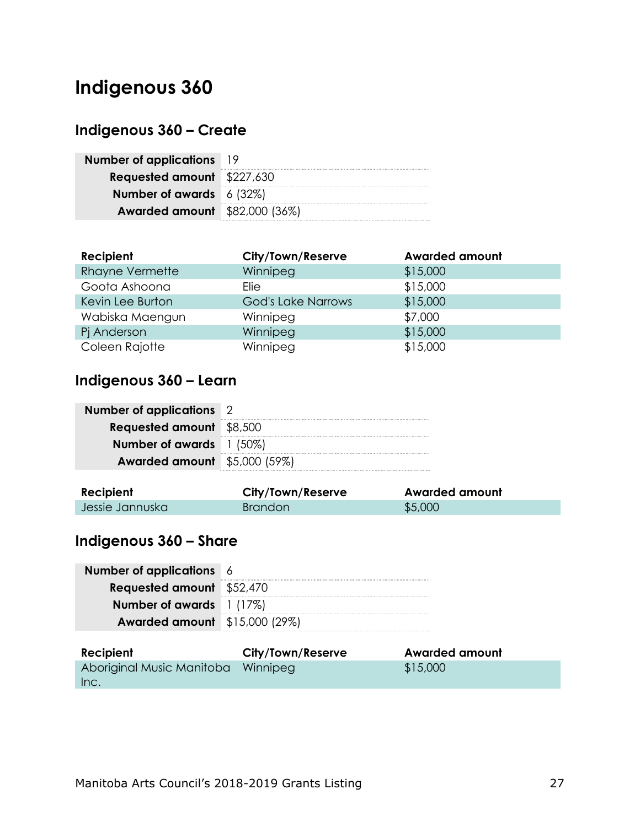# **Indigenous 360**

# <span id="page-28-0"></span>**Indigenous 360 – Create**

| <b>Number of applications</b> 19     |  |
|--------------------------------------|--|
| <b>Requested amount</b> \$227,630    |  |
| Number of awards $6(32%)$            |  |
| <b>Awarded amount</b> \$82,000 (36%) |  |

| <b>Recipient</b>       | City/Town/Reserve         | <b>Awarded amount</b> |
|------------------------|---------------------------|-----------------------|
| <b>Rhayne Vermette</b> | Winnipeg                  | \$15,000              |
| Goota Ashoona          | Elie                      | \$15,000              |
| Kevin Lee Burton       | <b>God's Lake Narrows</b> | \$15,000              |
| Wabiska Maengun        | Winnipeg                  | \$7,000               |
| Pj Anderson            | Winnipeg                  | \$15,000              |
| Coleen Rajotte         | Winnipeg                  | \$15,000              |

# <span id="page-28-1"></span>**Indigenous 360 – Learn**

| <b>Number of applications</b> 2         |  |
|-----------------------------------------|--|
| <b>Requested amount</b> \$8,500         |  |
| Number of awards $\left 1\right $ (50%) |  |
| <b>Awarded amount</b> \$5,000 (59%)     |  |

| Recipient       | City/Town/Reserve | <b>Awarded amount</b> |
|-----------------|-------------------|-----------------------|
| Jessie Jannuska | <b>Brandon</b>    | \$5,000               |

# <span id="page-28-2"></span>**Indigenous 360 – Share**

| <b>Number of applications</b> 6         |  |
|-----------------------------------------|--|
| <b>Requested amount</b> \$52,470        |  |
| Number of awards $\left  \right $ (17%) |  |
| <b>Awarded amount</b> \$15,000 (29%)    |  |

| Recipient                          | City/Town/Reserve | <b>Awarded amount</b> |
|------------------------------------|-------------------|-----------------------|
| Aboriginal Music Manitoba Winnipeg |                   | \$15,000              |
| Inc.                               |                   |                       |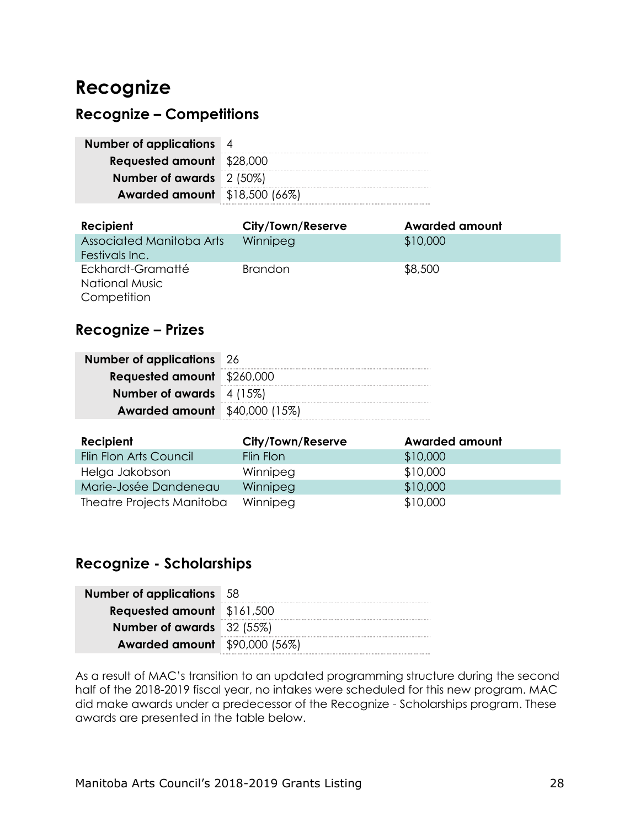# <span id="page-29-0"></span>**Recognize**

### <span id="page-29-1"></span>**Recognize – Competitions**

| Number of applications 4             |  |
|--------------------------------------|--|
| <b>Requested amount</b> \$28,000     |  |
| Number of awards $2(50\%)$           |  |
| <b>Awarded amount</b> \$18,500 (66%) |  |

| <b>Recipient</b>         | City/Town/Reserve | <b>Awarded amount</b> |
|--------------------------|-------------------|-----------------------|
| Associated Manitoba Arts | Winnipeg          | \$10,000              |
| Festivals Inc.           |                   |                       |
| Eckhardt-Gramatté        | <b>Brandon</b>    | \$8,500               |
| <b>National Music</b>    |                   |                       |
| Competition              |                   |                       |

### <span id="page-29-2"></span>**Recognize – Prizes**

| <b>Number of applications</b> 26     |  |
|--------------------------------------|--|
| <b>Requested amount</b> \$260,000    |  |
| Number of awards $4(15%)$            |  |
| <b>Awarded amount</b> \$40,000 (15%) |  |

| Recipient                 | City/Town/Reserve | <b>Awarded amount</b> |
|---------------------------|-------------------|-----------------------|
| Flin Flon Arts Council    | Flin Flon         | \$10,000              |
| Helga Jakobson            | Winnipeg          | \$10,000              |
| Marie-Josée Dandeneau     | Winnipeg          | \$10,000              |
| Theatre Projects Manitoba | Winnipeg          | \$10,000              |

# <span id="page-29-3"></span>**Recognize - Scholarships**

| <b>Number of applications</b> 58     |  |
|--------------------------------------|--|
| <b>Requested amount</b> \$161,500    |  |
| <b>Number of awards</b> 32 (55%)     |  |
| <b>Awarded amount</b> \$90,000 (56%) |  |

As a result of MAC's transition to an updated programming structure during the second half of the 2018-2019 fiscal year, no intakes were scheduled for this new program. MAC did make awards under a predecessor of the Recognize - Scholarships program. These awards are presented in the table below.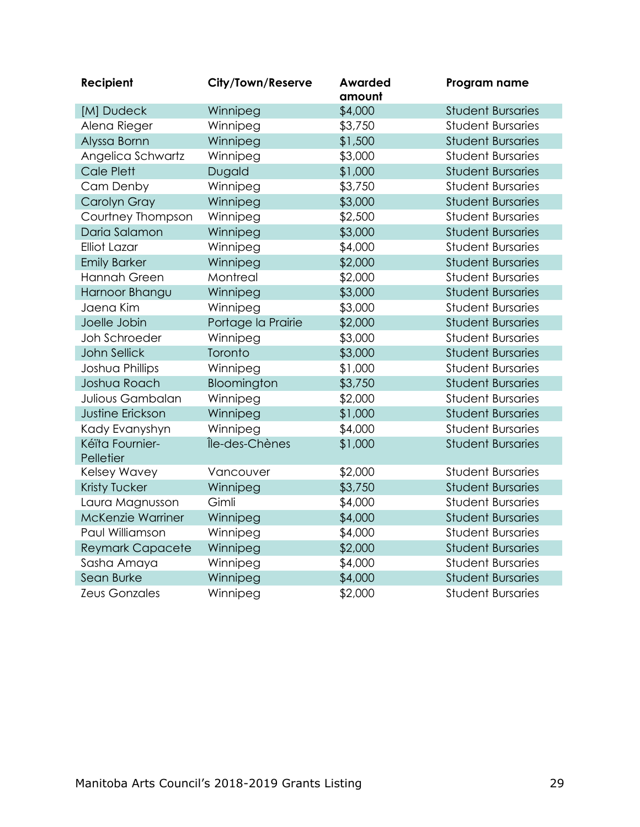<span id="page-30-0"></span>

| Recipient                    | City/Town/Reserve  | <b>Awarded</b><br>amount | Program name             |
|------------------------------|--------------------|--------------------------|--------------------------|
| [M] Dudeck                   | Winnipeg           | \$4,000                  | <b>Student Bursaries</b> |
| Alena Rieger                 | Winnipeg           | \$3,750                  | <b>Student Bursaries</b> |
| Alyssa Bornn                 | Winnipeg           | \$1,500                  | <b>Student Bursaries</b> |
| Angelica Schwartz            | Winnipeg           | \$3,000                  | <b>Student Bursaries</b> |
| Cale Plett                   | Dugald             | \$1,000                  | <b>Student Bursaries</b> |
| Cam Denby                    | Winnipeg           | \$3,750                  | <b>Student Bursaries</b> |
| Carolyn Gray                 | Winnipeg           | \$3,000                  | <b>Student Bursaries</b> |
| Courtney Thompson            | Winnipeg           | \$2,500                  | <b>Student Bursaries</b> |
| Daria Salamon                | Winnipeg           | \$3,000                  | <b>Student Bursaries</b> |
| <b>Elliot Lazar</b>          | Winnipeg           | \$4,000                  | <b>Student Bursaries</b> |
| <b>Emily Barker</b>          | Winnipeg           | \$2,000                  | <b>Student Bursaries</b> |
| Hannah Green                 | Montreal           | \$2,000                  | <b>Student Bursaries</b> |
| Harnoor Bhangu               | Winnipeg           | \$3,000                  | <b>Student Bursaries</b> |
| Jaena Kim                    | Winnipeg           | \$3,000                  | <b>Student Bursaries</b> |
| Joelle Jobin                 | Portage la Prairie | \$2,000                  | <b>Student Bursaries</b> |
| Joh Schroeder                | Winnipeg           | \$3,000                  | <b>Student Bursaries</b> |
| <b>John Sellick</b>          | Toronto            | \$3,000                  | <b>Student Bursaries</b> |
| Joshua Phillips              | Winnipeg           | \$1,000                  | <b>Student Bursaries</b> |
| Joshua Roach                 | Bloomington        | \$3,750                  | <b>Student Bursaries</b> |
| Julious Gambalan             | Winnipeg           | \$2,000                  | <b>Student Bursaries</b> |
| <b>Justine Erickson</b>      | Winnipeg           | \$1,000                  | <b>Student Bursaries</b> |
| Kady Evanyshyn               | Winnipeg           | \$4,000                  | <b>Student Bursaries</b> |
| Kéïta Fournier-<br>Pelletier | Île-des-Chènes     | \$1,000                  | <b>Student Bursaries</b> |
| Kelsey Wavey                 | Vancouver          | \$2,000                  | <b>Student Bursaries</b> |
| Kristy Tucker                | Winnipeg           | \$3,750                  | <b>Student Bursaries</b> |
| Laura Magnusson              | Gimli              | \$4,000                  | <b>Student Bursaries</b> |
| McKenzie Warriner            | Winnipeg           | \$4,000                  | <b>Student Bursaries</b> |
| Paul Williamson              | Winnipeg           | \$4,000                  | <b>Student Bursaries</b> |
| <b>Reymark Capacete</b>      | Winnipeg           | \$2,000                  | <b>Student Bursaries</b> |
| Sasha Amaya                  | Winnipeg           | \$4,000                  | <b>Student Bursaries</b> |
| Sean Burke                   | Winnipeg           | \$4,000                  | <b>Student Bursaries</b> |
| <b>Zeus Gonzales</b>         | Winnipeg           | \$2,000                  | <b>Student Bursaries</b> |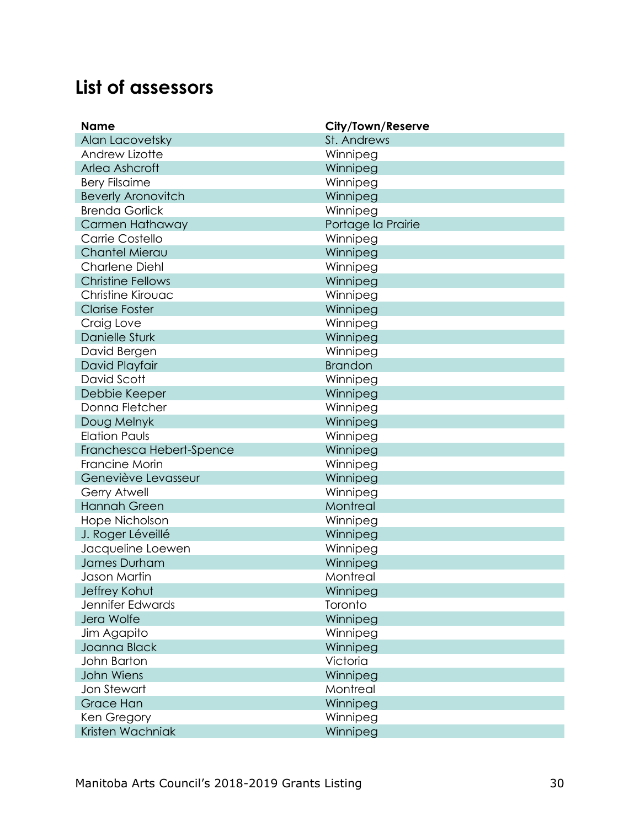# **List of assessors**

| <b>Name</b>               | City/Town/Reserve  |
|---------------------------|--------------------|
| Alan Lacovetsky           | St. Andrews        |
| Andrew Lizotte            | Winnipeg           |
| Arlea Ashcroft            | Winnipeg           |
| <b>Bery Filsaime</b>      | Winnipeg           |
| <b>Beverly Aronovitch</b> | Winnipeg           |
| <b>Brenda Gorlick</b>     | Winnipeg           |
| Carmen Hathaway           | Portage la Prairie |
| Carrie Costello           | Winnipeg           |
| Chantel Mierau            | Winnipeg           |
| Charlene Diehl            | Winnipeg           |
| <b>Christine Fellows</b>  | Winnipeg           |
| Christine Kirouac         | Winnipeg           |
| <b>Clarise Foster</b>     | Winnipeg           |
| Craig Love                | Winnipeg           |
| <b>Danielle Sturk</b>     | Winnipeg           |
| David Bergen              | Winnipeg           |
| David Playfair            | <b>Brandon</b>     |
| David Scott               | Winnipeg           |
| Debbie Keeper             | Winnipeg           |
| Donna Fletcher            | Winnipeg           |
| Doug Melnyk               | Winnipeg           |
| <b>Elation Pauls</b>      | Winnipeg           |
| Franchesca Hebert-Spence  | Winnipeg           |
| Francine Morin            | Winnipeg           |
| Geneviève Levasseur       | Winnipeg           |
| Gerry Atwell              | Winnipeg           |
| <b>Hannah Green</b>       | Montreal           |
| Hope Nicholson            | Winnipeg           |
| J. Roger Léveillé         | Winnipeg           |
| Jacqueline Loewen         | Winnipeg           |
| James Durham              | Winnipeg           |
| Jason Martin              | Montreal           |
| Jeffrey Kohut             | Winnipeg           |
| Jennifer Edwards          | Toronto            |
| Jera Wolfe                | Winnipeg           |
| Jim Agapito               | Winnipeg           |
| Joanna Black              | Winnipeg           |
| John Barton               | Victoria           |
| John Wiens                | Winnipeg           |
| Jon Stewart               | Montreal           |
| <b>Grace Han</b>          | Winnipeg           |
| Ken Gregory               | Winnipeg           |
| Kristen Wachniak          | Winnipeg           |